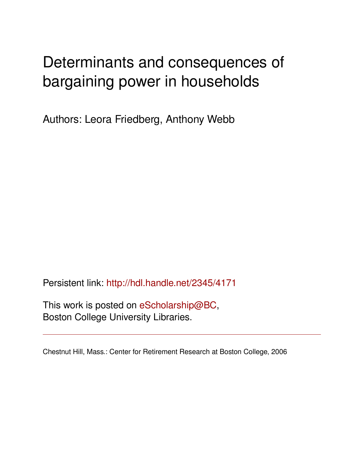# Determinants and consequences of bargaining power in households

Authors: Leora Friedberg, Anthony Webb

Persistent link: <http://hdl.handle.net/2345/4171>

This work is posted on [eScholarship@BC](http://escholarship.bc.edu), Boston College University Libraries.

Chestnut Hill, Mass.: Center for Retirement Research at Boston College, 2006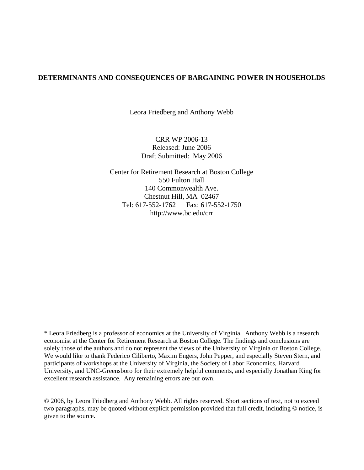#### **DETERMINANTS AND CONSEQUENCES OF BARGAINING POWER IN HOUSEHOLDS**

Leora Friedberg and Anthony Webb

CRR WP 2006-13 Released: June 2006 Draft Submitted: May 2006

Center for Retirement Research at Boston College 550 Fulton Hall 140 Commonwealth Ave. Chestnut Hill, MA 02467 Tel: 617-552-1762 Fax: 617-552-1750 http://www.bc.edu/crr

\* Leora Friedberg is a professor of economics at the University of Virginia. Anthony Webb is a research economist at the Center for Retirement Research at Boston College. The findings and conclusions are solely those of the authors and do not represent the views of the University of Virginia or Boston College. We would like to thank Federico Ciliberto, Maxim Engers, John Pepper, and especially Steven Stern, and participants of workshops at the University of Virginia, the Society of Labor Economics, Harvard University, and UNC-Greensboro for their extremely helpful comments, and especially Jonathan King for excellent research assistance. Any remaining errors are our own.

© 2006, by Leora Friedberg and Anthony Webb. All rights reserved. Short sections of text, not to exceed two paragraphs, may be quoted without explicit permission provided that full credit, including © notice, is given to the source.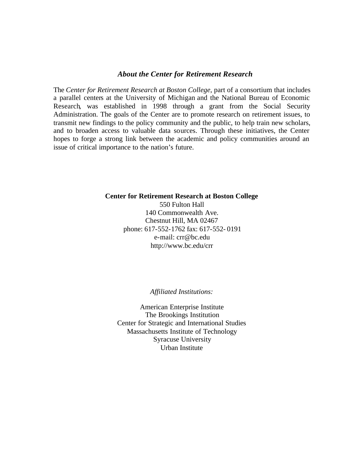#### *About the Center for Retirement Research*

The *Center for Retirement Research at Boston College*, part of a consortium that includes a parallel centers at the University of Michigan and the National Bureau of Economic Research, was established in 1998 through a grant from the Social Security Administration. The goals of the Center are to promote research on retirement issues, to transmit new findings to the policy community and the public, to help train new scholars, and to broaden access to valuable data sources. Through these initiatives, the Center hopes to forge a strong link between the academic and policy communities around an issue of critical importance to the nation's future.

#### **Center for Retirement Research at Boston College**

550 Fulton Hall 140 Commonwealth Ave. Chestnut Hill, MA 02467 phone: 617-552-1762 fax: 617-552- 0191 e-mail: crr@bc.edu http://www.bc.edu/crr

#### *Affiliated Institutions:*

American Enterprise Institute The Brookings Institution Center for Strategic and International Studies Massachusetts Institute of Technology Syracuse University Urban Institute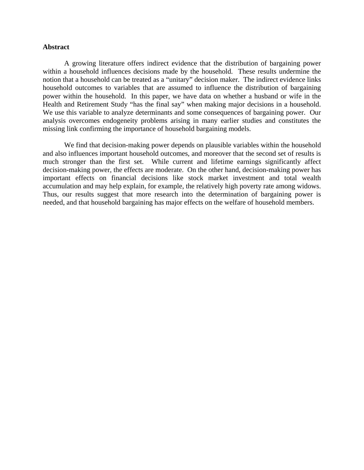#### **Abstract**

 A growing literature offers indirect evidence that the distribution of bargaining power within a household influences decisions made by the household. These results undermine the notion that a household can be treated as a "unitary" decision maker. The indirect evidence links household outcomes to variables that are assumed to influence the distribution of bargaining power within the household. In this paper, we have data on whether a husband or wife in the Health and Retirement Study "has the final say" when making major decisions in a household. We use this variable to analyze determinants and some consequences of bargaining power. Our analysis overcomes endogeneity problems arising in many earlier studies and constitutes the missing link confirming the importance of household bargaining models.

We find that decision-making power depends on plausible variables within the household and also influences important household outcomes, and moreover that the second set of results is much stronger than the first set. While current and lifetime earnings significantly affect decision-making power, the effects are moderate. On the other hand, decision-making power has important effects on financial decisions like stock market investment and total wealth accumulation and may help explain, for example, the relatively high poverty rate among widows. Thus, our results suggest that more research into the determination of bargaining power is needed, and that household bargaining has major effects on the welfare of household members.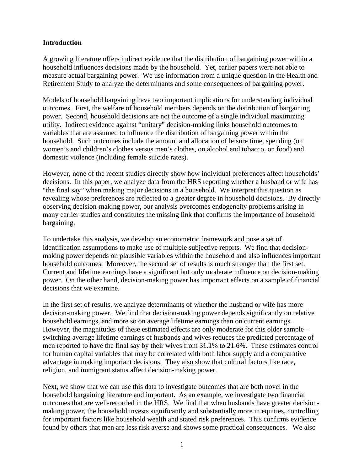#### **Introduction**

A growing literature offers indirect evidence that the distribution of bargaining power within a household influences decisions made by the household. Yet, earlier papers were not able to measure actual bargaining power. We use information from a unique question in the Health and Retirement Study to analyze the determinants and some consequences of bargaining power.

Models of household bargaining have two important implications for understanding individual outcomes. First, the welfare of household members depends on the distribution of bargaining power. Second, household decisions are not the outcome of a single individual maximizing utility. Indirect evidence against "unitary" decision-making links household outcomes to variables that are assumed to influence the distribution of bargaining power within the household. Such outcomes include the amount and allocation of leisure time, spending (on women's and children's clothes versus men's clothes, on alcohol and tobacco, on food) and domestic violence (including female suicide rates).

However, none of the recent studies directly show how individual preferences affect households' decisions. In this paper, we analyze data from the HRS reporting whether a husband or wife has "the final say" when making major decisions in a household. We interpret this question as revealing whose preferences are reflected to a greater degree in household decisions. By directly observing decision-making power, our analysis overcomes endogeneity problems arising in many earlier studies and constitutes the missing link that confirms the importance of household bargaining.

To undertake this analysis, we develop an econometric framework and pose a set of identification assumptions to make use of multiple subjective reports. We find that decisionmaking power depends on plausible variables within the household and also influences important household outcomes. Moreover, the second set of results is much stronger than the first set. Current and lifetime earnings have a significant but only moderate influence on decision-making power. On the other hand, decision-making power has important effects on a sample of financial decisions that we examine.

In the first set of results, we analyze determinants of whether the husband or wife has more decision-making power. We find that decision-making power depends significantly on relative household earnings, and more so on average lifetime earnings than on current earnings. However, the magnitudes of these estimated effects are only moderate for this older sample – switching average lifetime earnings of husbands and wives reduces the predicted percentage of men reported to have the final say by their wives from 31.1% to 21.6%. These estimates control for human capital variables that may be correlated with both labor supply and a comparative advantage in making important decisions. They also show that cultural factors like race, religion, and immigrant status affect decision-making power.

Next, we show that we can use this data to investigate outcomes that are both novel in the household bargaining literature and important. As an example, we investigate two financial outcomes that are well-recorded in the HRS. We find that when husbands have greater decisionmaking power, the household invests significantly and substantially more in equities, controlling for important factors like household wealth and stated risk preferences. This confirms evidence found by others that men are less risk averse and shows some practical consequences. We also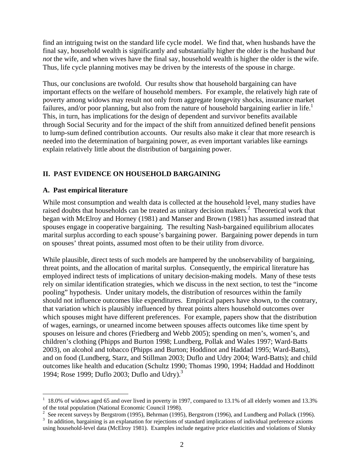find an intriguing twist on the standard life cycle model. We find that, when husbands have the final say, household wealth is significantly and substantially higher the older is the husband *but not* the wife, and when wives have the final say, household wealth is higher the older is the wife. Thus, life cycle planning motives may be driven by the interests of the spouse in charge.

Thus, our conclusions are twofold. Our results show that household bargaining can have important effects on the welfare of household members. For example, the relatively high rate of poverty among widows may result not only from aggregate longevity shocks, insurance market failures, and/or poor planning, but also from the nature of household bargaining earlier in life.<sup>1</sup> This, in turn, has implications for the design of dependent and survivor benefits available through Social Security and for the impact of the shift from annuitized defined benefit pensions to lump-sum defined contribution accounts. Our results also make it clear that more research is needed into the determination of bargaining power, as even important variables like earnings explain relatively little about the distribution of bargaining power.

### **II. PAST EVIDENCE ON HOUSEHOLD BARGAINING**

#### **A. Past empirical literature**

While most consumption and wealth data is collected at the household level, many studies have raised doubts that households can be treated as unitary decision makers.<sup>2</sup> Theoretical work that began with McElroy and Horney (1981) and Manser and Brown (1981) has assumed instead that spouses engage in cooperative bargaining. The resulting Nash-bargained equilibrium allocates marital surplus according to each spouse's bargaining power. Bargaining power depends in turn on spouses' threat points, assumed most often to be their utility from divorce.

While plausible, direct tests of such models are hampered by the unobservability of bargaining, threat points, and the allocation of marital surplus. Consequently, the empirical literature has employed indirect tests of implications of unitary decision-making models. Many of these tests rely on similar identification strategies, which we discuss in the next section, to test the "income pooling" hypothesis. Under unitary models, the distribution of resources within the family should not influence outcomes like expenditures. Empirical papers have shown, to the contrary, that variation which is plausibly influenced by threat points alters household outcomes over which spouses might have different preferences. For example, papers show that the distribution of wages, earnings, or unearned income between spouses affects outcomes like time spent by spouses on leisure and chores (Friedberg and Webb 2005); spending on men's, women's, and children's clothing (Phipps and Burton 1998; Lundberg, Pollak and Wales 1997; Ward-Batts 2003), on alcohol and tobacco (Phipps and Burton; Hoddinot and Haddad 1995; Ward-Batts), and on food (Lundberg, Starz, and Stillman 2003; Duflo and Udry 2004; Ward-Batts); and child outcomes like health and education (Schultz 1990; Thomas 1990, 1994; Haddad and Hoddinott 1994; Rose 1999; Duflo 2003; Duflo and Udry).<sup>3</sup>

 $\overline{a}$ 1 18.0% of widows aged 65 and over lived in poverty in 1997, compared to 13.1% of all elderly women and 13.3% of the total population (National Economic Council 1998).

<sup>&</sup>lt;sup>2</sup> See recent surveys by Bergstrom (1995), Behrman (1995), Bergstrom (1996), and Lundberg and Pollack (1996).

<sup>&</sup>lt;sup>3</sup> In addition, bargaining is an explanation for rejections of standard implications of individual preference axioms using household-level data (McElroy 1981). Examples include negative price elasticities and violations of Slutsky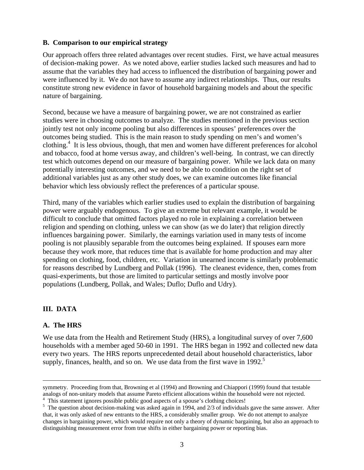#### **B. Comparison to our empirical strategy**

Our approach offers three related advantages over recent studies. First, we have actual measures of decision-making power. As we noted above, earlier studies lacked such measures and had to assume that the variables they had access to influenced the distribution of bargaining power and were influenced by it. We do not have to assume any indirect relationships. Thus, our results constitute strong new evidence in favor of household bargaining models and about the specific nature of bargaining.

Second, because we have a measure of bargaining power, we are not constrained as earlier studies were in choosing outcomes to analyze. The studies mentioned in the previous section jointly test not only income pooling but also differences in spouses' preferences over the outcomes being studied. This is the main reason to study spending on men's and women's clothing.<sup>4</sup> It is less obvious, though, that men and women have different preferences for alcohol and tobacco, food at home versus away, and children's well-being. In contrast, we can directly test which outcomes depend on our measure of bargaining power. While we lack data on many potentially interesting outcomes, and we need to be able to condition on the right set of additional variables just as any other study does, we can examine outcomes like financial behavior which less obviously reflect the preferences of a particular spouse.

Third, many of the variables which earlier studies used to explain the distribution of bargaining power were arguably endogenous. To give an extreme but relevant example, it would be difficult to conclude that omitted factors played no role in explaining a correlation between religion and spending on clothing, unless we can show (as we do later) that religion directly influences bargaining power. Similarly, the earnings variation used in many tests of income pooling is not plausibly separable from the outcomes being explained. If spouses earn more because they work more, that reduces time that is available for home production and may alter spending on clothing, food, children, etc. Variation in unearned income is similarly problematic for reasons described by Lundberg and Pollak (1996). The cleanest evidence, then, comes from quasi-experiments, but those are limited to particular settings and mostly involve poor populations (Lundberg, Pollak, and Wales; Duflo; Duflo and Udry).

### **III. DATA**

#### **A. The HRS**

We use data from the Health and Retirement Study (HRS), a longitudinal survey of over 7,600 households with a member aged 50-60 in 1991. The HRS began in 1992 and collected new data every two years. The HRS reports unprecedented detail about household characteristics, labor supply, finances, health, and so on. We use data from the first wave in 1992.<sup>5</sup>

symmetry. Proceeding from that, Browning et al (1994) and Browning and Chiappori (1999) found that testable analogs of non-unitary models that assume Pareto efficient allocations within the household were not rejected.

<sup>&</sup>lt;sup>4</sup> This statement ignores possible public good aspects of a spouse's clothing choices!

 $<sup>5</sup>$  The question about decision-making was asked again in 1994, and 2/3 of individuals gave the same answer. After</sup> that, it was only asked of new entrants to the HRS, a considerably smaller group. We do not attempt to analyze changes in bargaining power, which would require not only a theory of dynamic bargaining, but also an approach to distinguishing measurement error from true shifts in either bargaining power or reporting bias.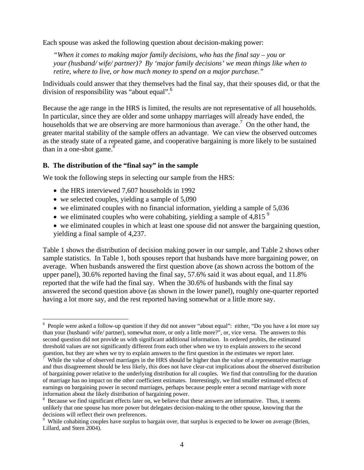Each spouse was asked the following question about decision-making power:

*"When it comes to making major family decisions, who has the final say – you or your (husband/ wife/ partner)? By 'major family decisions' we mean things like when to retire, where to live, or how much money to spend on a major purchase."*

Individuals could answer that they themselves had the final say, that their spouses did, or that the division of responsibility was "about equal".<sup>6</sup>

Because the age range in the HRS is limited, the results are not representative of all households. In particular, since they are older and some unhappy marriages will already have ended, the households that we are observing are more harmonious than average.<sup>7</sup> On the other hand, the greater marital stability of the sample offers an advantage. We can view the observed outcomes as the steady state of a repeated game, and cooperative bargaining is more likely to be sustained than in a one-shot game. $8$ 

#### **B. The distribution of the "final say" in the sample**

We took the following steps in selecting our sample from the HRS:

- the HRS interviewed 7,607 households in 1992
- we selected couples, yielding a sample of 5,090

1

- we eliminated couples with no financial information, yielding a sample of 5,036
- we eliminated couples who were cohabiting, yielding a sample of 4,815 $^9$
- we eliminated couples in which at least one spouse did not answer the bargaining question, yielding a final sample of 4,237.

Table 1 shows the distribution of decision making power in our sample, and Table 2 shows other sample statistics. In Table 1, both spouses report that husbands have more bargaining power, on average. When husbands answered the first question above (as shown across the bottom of the upper panel), 30.6% reported having the final say, 57.6% said it was about equal, and 11.8% reported that the wife had the final say. When the 30.6% of husbands with the final say answered the second question above (as shown in the lower panel), roughly one-quarter reported having a lot more say, and the rest reported having somewhat or a little more say.

<sup>&</sup>lt;sup>6</sup> People were asked a follow-up question if they did not answer "about equal": either, "Do you have a lot more say than your (husband/ wife/ partner), somewhat more, or only a little more?", or, vice versa. The answers to this second question did not provide us with significant additional information. In ordered probits, the estimated threshold values are not significantly different from each other when we try to explain answers to the second question, but they are when we try to explain answers to the first question in the estimates we report later.

While the value of observed marriages in the HRS should be higher than the value of a representative marriage and thus disagreement should be less likely, this does not have clear-cut implications about the observed distribution of bargaining power relative to the underlying distribution for all couples. We find that controlling for the duration of marriage has no impact on the other coefficient estimates. Interestingly, we find smaller estimated effects of earnings on bargaining power in second marriages, perhaps because people enter a second marriage with more information about the likely distribution of bargaining power.

<sup>&</sup>lt;sup>8</sup> Because we find significant effects later on, we believe that these answers are informative. Thus, it seems unlikely that one spouse has more power but delegates decision-making to the other spouse, knowing that the decisions will reflect their own preferences.

<sup>&</sup>lt;sup>9</sup> While cohabiting couples have surplus to bargain over, that surplus is expected to be lower on average (Brien, Lillard, and Stern 2004).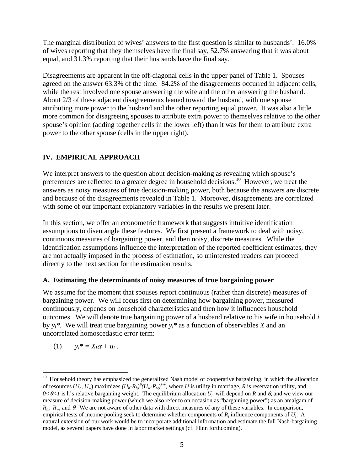The marginal distribution of wives' answers to the first question is similar to husbands'. 16.0% of wives reporting that they themselves have the final say, 52.7% answering that it was about equal, and 31.3% reporting that their husbands have the final say.

Disagreements are apparent in the off-diagonal cells in the upper panel of Table 1. Spouses agreed on the answer 63.3% of the time. 84.2% of the disagreements occurred in adjacent cells, while the rest involved one spouse answering the wife and the other answering the husband. About 2/3 of these adjacent disagreements leaned toward the husband, with one spouse attributing more power to the husband and the other reporting equal power. It was also a little more common for disagreeing spouses to attribute extra power to themselves relative to the other spouse's opinion (adding together cells in the lower left) than it was for them to attribute extra power to the other spouse (cells in the upper right).

### **IV. EMPIRICAL APPROACH**

We interpret answers to the question about decision-making as revealing which spouse's preferences are reflected to a greater degree in household decisions.<sup>10</sup> However, we treat the answers as noisy measures of true decision-making power, both because the answers are discrete and because of the disagreements revealed in Table 1. Moreover, disagreements are correlated with some of our important explanatory variables in the results we present later.

In this section, we offer an econometric framework that suggests intuitive identification assumptions to disentangle these features. We first present a framework to deal with noisy, continuous measures of bargaining power, and then noisy, discrete measures. While the identification assumptions influence the interpretation of the reported coefficient estimates, they are not actually imposed in the process of estimation, so uninterested readers can proceed directly to the next section for the estimation results.

### **A. Estimating the determinants of noisy measures of true bargaining power**

We assume for the moment that spouses report continuous (rather than discrete) measures of bargaining power. We will focus first on determining how bargaining power, measured continuously, depends on household characteristics and then how it influences household outcomes. We will denote true bargaining power of a husband relative to his wife in household *i* by  $y_i^*$ . We will treat true bargaining power  $y_i^*$  as a function of observables *X* and an uncorrelated homoscedastic error term:

$$
(1) \t y_i^* = X_i \alpha + u_i.
$$

 $\overline{a}$ 

<sup>&</sup>lt;sup>10</sup> Household theory has emphasized the generalized Nash model of cooperative bargaining, in which the allocation of resources  $(U_h, U_w)$  maximizes  $(U_h - R_h)^{\theta} (U_w - R_w)^{1-\theta}$ , where *U* is utility in marriage, *R* is reservation utility, and  $0 < \theta < 1$  is h's relative bargaining weight. The equilibrium allocation  $U_i$  will depend on *R* and  $\theta$ , and we view our measure of decision-making power (which we also refer to on occasion as "bargaining power") as an amalgam of *Rh*, *Rw*, and θ. We are not aware of other data with direct measures of any of these variables. In comparison, empirical tests of income pooling seek to determine whether components of *Rj* influence components of *Uj*. A natural extension of our work would be to incorporate additional information and estimate the full Nash-bargaining model, as several papers have done in labor market settings (cf. Flinn forthcoming).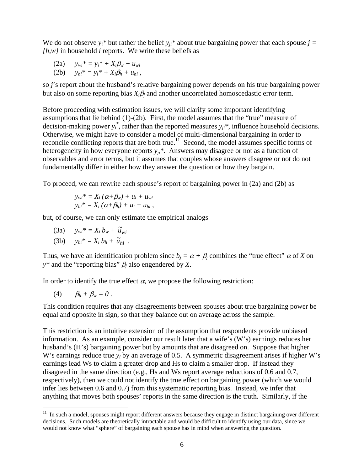We do not observe  $y_i^*$  but rather the belief  $y_{ii}^*$  about true bargaining power that each spouse  $j =$ *{h,w}* in household *i* reports. We write these beliefs as

(2a) *ywi\* = yi\* + Xi*β*w + uwi* (2b)  $y_{hi}^* = y_i^* + X_i \beta_h + u_{hi}$ ,

so *j*'s report about the husband's relative bargaining power depends on his true bargaining power but also on some reporting bias  $X_i \beta_i$  and another uncorrelated homoscedastic error term.

Before proceeding with estimation issues, we will clarify some important identifying assumptions that lie behind (1)-(2b). First, the model assumes that the "true" measure of decision-making power  $y_i^*$ , rather than the reported measures  $y_{ji}^*$ , influence household decisions. Otherwise, we might have to consider a model of multi-dimensional bargaining in order to reconcile conflicting reports that are both true.<sup>11</sup> Second, the model assumes specific forms of heterogeneity in how everyone reports  $y_{ii}$ <sup>\*</sup>. Answers may disagree or not as a function of observables and error terms, but it assumes that couples whose answers disagree or not do not fundamentally differ in either how they answer the question or how they bargain.

To proceed, we can rewrite each spouse's report of bargaining power in (2a) and (2b) as

$$
y_{wi}^* = X_i (\alpha + \beta_w) + u_i + u_{wi}
$$
  

$$
y_{hi}^* = X_i (\alpha + \beta_h) + u_i + u_{hi},
$$

but, of course, we can only estimate the empirical analogs

(3a)  $y_{wi}^* = X_i b_w + \tilde{u}_{wi}$ (3b)  $y_{hi}^* = X_i b_h + \tilde{u}_{hi}$ .

Thus, we have an identification problem since  $b_i = \alpha + \beta_i$  combines the "true effect"  $\alpha$  of *X* on *y\** and the "reporting bias" β*j* also engendered by *X*.

In order to identify the true effect  $\alpha$ , we propose the following restriction:

$$
(4) \qquad \beta_h + \beta_w = 0 \ .
$$

 $\overline{a}$ 

This condition requires that any disagreements between spouses about true bargaining power be equal and opposite in sign, so that they balance out on average across the sample.

This restriction is an intuitive extension of the assumption that respondents provide unbiased information. As an example, consider our result later that a wife's (W's) earnings reduces her husband's (H's) bargaining power but by amounts that are disagreed on. Suppose that higher W's earnings reduce true  $y_i$  by an average of 0.5. A symmetric disagreement arises if higher W's earnings lead Ws to claim a greater drop and Hs to claim a smaller drop. If instead they disagreed in the same direction (e.g., Hs and Ws report average reductions of 0.6 and 0.7, respectively), then we could not identify the true effect on bargaining power (which we would infer lies between 0.6 and 0.7) from this systematic reporting bias. Instead, we infer that anything that moves both spouses' reports in the same direction is the truth. Similarly, if the

 $11$  In such a model, spouses might report different answers because they engage in distinct bargaining over different decisions. Such models are theoretically intractable and would be difficult to identify using our data, since we would not know what "sphere" of bargaining each spouse has in mind when answering the question.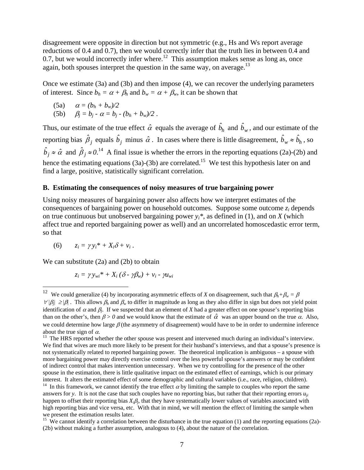disagreement were opposite in direction but not symmetric (e.g., Hs and Ws report average reductions of 0.4 and 0.7), then we would correctly infer that the truth lies in between 0.4 and 0.7, but we would incorrectly infer where.<sup>12</sup> This assumption makes sense as long as, once again, both spouses interpret the question in the same way, on average.<sup>13</sup>

Once we estimate (3a) and (3b) and then impose (4), we can recover the underlying parameters of interest. Since  $b_h = \alpha + \beta_h$  and  $b_w = \alpha + \beta_w$ , it can be shown that

(5a) 
$$
\alpha = (b_h + b_w)/2
$$
  
(5b)  $\beta_j = b_j - \alpha = b_j - (b_h + b_w)/2$ .

Thus, our estimate of the true effect  $\hat{\alpha}$  equals the average of  $\hat{b}_h$  and  $\hat{b}_w$ , and our estimate of the reporting bias  $\hat{\beta}_j$  equals  $\hat{b}_j$  minus  $\hat{\alpha}$ . In cases where there is little disagreement,  $\hat{b}_w \approx \hat{b}_h$ , so  $\hat{b}_j \approx \hat{\alpha}$  and  $\hat{\beta}_j \approx 0.14$  A final issue is whether the errors in the reporting equations (2a)-(2b) and hence the estimating equations (3a)-(3b) are correlated.<sup>15</sup> We test this hypothesis later on and find a large, positive, statistically significant correlation.

#### **B. Estimating the consequences of noisy measures of true bargaining power**

Using noisy measures of bargaining power also affects how we interpret estimates of the consequences of bargaining power on household outcomes. Suppose some outcome *zi* depends on true continuous but unobserved bargaining power  $y_i^*$ , as defined in (1), and on *X* (which affect true and reported bargaining power as well) and an uncorrelated homoscedastic error term, so that

$$
(6) \qquad z_i = \gamma y_i^* + X_i \delta + v_i \, .
$$

1

We can substitute (2a) and (2b) to obtain

$$
z_i = \gamma y_{wi}^* + X_i (\delta - \gamma \beta_w) + v_i - \gamma u_{wi}
$$

<sup>&</sup>lt;sup>12</sup> We could generalize (4) by incorporating asymmetric effects of *X* on disagreement, such that  $\beta_h + \beta_w = \beta$  $\forall |\beta_i| \ge |\beta|$ . This allows  $\beta_h$  and  $\beta_w$  to differ in magnitude as long as they also differ in sign but does not yield point identification of  $\alpha$  and  $\beta$ <sub>*j*</sub>. If we suspected that an element of *X* had a greater effect on one spouse's reporting bias than on the other's, then  $\beta > 0$  and we would know that the estimate of  $\hat{\alpha}$  was an upper bound on the true  $\alpha$ . Also, we could determine how large  $\beta$  (the asymmetry of disagreement) would have to be in order to undermine inference about the true sign of  $\alpha$ .<br><sup>13</sup> The HRS reported whether the other spouse was present and intervened much during an individual's interview.

We find that wives are much more likely to be present for their husband's interviews, and that a spouse's presence is not systematically related to reported bargaining power. The theoretical implication is ambiguous – a spouse with more bargaining power may directly exercise control over the less powerful spouse's answers or may be confident of indirect control that makes intervention unnecessary. When we try controlling for the presence of the other spouse in the estimation, there is little qualitative impact on the estimated effect of earnings, which is our primary interest. It alters the estimated effect of some demographic and cultural variables (i.e., race, religion, children).<br><sup>14</sup> In this framework, we cannot identify the true effect  $\alpha$  by limiting the sample to couples who r answers for *y*. It is not the case that such couples have no reporting bias, but rather that their reporting errors  $u_{ii}$ happen to offset their reporting bias  $X_i\beta_i$ , that they have systematically lower values of variables associated with high reporting bias and vice versa, etc. With that in mind, we will mention the effect of limiting the sample when we present the estimation results later.

<sup>&</sup>lt;sup>15</sup> We cannot identify a correlation between the disturbance in the true equation (1) and the reporting equations (2a)-(2b) without making a further assumption, analogous to (4), about the nature of the correlation.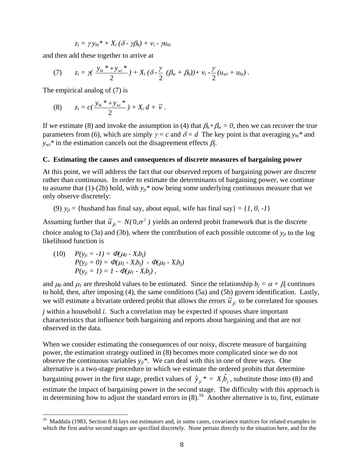$$
z_i = \gamma y_{hi}^* + X_i (\delta - \gamma \beta_h) + v_i - \gamma u_{hi}
$$

and then add these together to arrive at

(7) 
$$
z_i = \gamma \left( \frac{y_{hi} * + y_{wi} *}{2} \right) + X_i \left( \delta - \frac{\gamma}{2} \left( \beta_w + \beta_h \right) \right) + v_i - \frac{\gamma}{2} (u_{wi} + u_{hi}).
$$

The empirical analog of (7) is

(8) 
$$
z_i = c\left(\frac{y_{hi} * + y_{wi} *}{2}\right) + X_i d + \widetilde{v}.
$$

If we estimate (8) and invoke the assumption in (4) that  $\beta_h + \beta_w = 0$ , then we can recover the true parameters from (6), which are simply  $\gamma = c$  and  $\delta = d$  The key point is that averaging  $y_{hi}$ <sup>\*</sup> and  $y_{wi}$ <sup>\*</sup> in the estimation cancels out the disagreement effects  $\beta_i$ .

#### **C. Estimating the causes and consequences of discrete measures of bargaining power**

At this point, we will address the fact that our observed reports of bargaining power are discrete rather than continuous. In order to estimate the determinants of bargaining power, we continue to assume that (1)-(2b) hold, with  $y_{ji}$ <sup>\*</sup> now being some underlying continuous measure that we only observe discretely:

(9)  $y_{ii}$  = {husband has final say, about equal, wife has final say} = {*1, 0, -1*}

Assuming further that  $\tilde{u}_{ji} \sim N(0, \sigma^2)$  yields an ordered probit framework that is the discrete choice analog to (3a) and (3b), where the contribution of each possible outcome of  $y_{ji}$  to the log likelihood function is

 $(10)$   $P(y_{ii} = -1) = \Phi(\mu_0 - X_i b_i)$  $P(y_{ji} = 0) = \Phi(\mu_1 - X_i b_j) - \Phi(\mu_0 - X_i b_j)$  $P(y_{ii} = 1) = 1 - \Phi(\mu_1 - X_i b_i)$ ,

1

and  $\mu_0$  and  $\mu_1$  are threshold values to be estimated. Since the relationship  $b_i = \alpha + \beta_i$  continues to hold, then, after imposing (4), the same conditions (5a) and (5b) govern identification. Lastly, we will estimate a bivariate ordered probit that allows the errors  $\tilde{u}_{ji}$  to be correlated for spouses

*j* within a household *i*. Such a correlation may be expected if spouses share important characteristics that influence both bargaining and reports about bargaining and that are not observed in the data.

When we consider estimating the consequences of our noisy, discrete measure of bargaining power, the estimation strategy outlined in (8) becomes more complicated since we do not observe the continuous variables  $y_{ji}$ <sup>\*</sup>. We can deal with this in one of three ways. One alternative is a two-stage procedure in which we estimate the ordered probits that determine bargaining power in the first stage, predict values of  $\hat{y}_{ji}^* = X_i \hat{b}_j$ , substitute those into (8) and estimate the impact of bargaining power in the second stage. The difficulty with this approach is in determining how to adjust the standard errors in  $(8)$ .<sup>16</sup> Another alternative is to, first, estimate

<sup>&</sup>lt;sup>16</sup> Maddala (1983, Section 8.8) lays out estimators and, in some cases, covariance matrices for related examples in which the first and/or second stages are specified discretely. None pertain directly to the situation here, and for the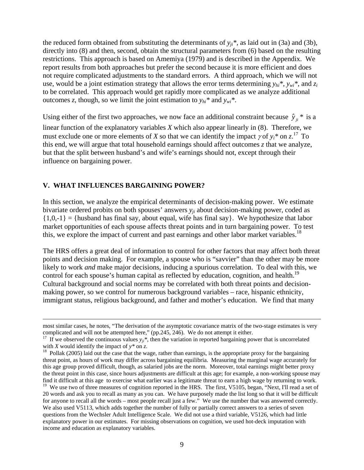the reduced form obtained from substituting the determinants of  $y_{ii}$ <sup>\*</sup>, as laid out in (3a) and (3b), directly into (8) and then, second, obtain the structural parameters from (6) based on the resulting restrictions. This approach is based on Amemiya (1979) and is described in the Appendix. We report results from both approaches but prefer the second because it is more efficient and does not require complicated adjustments to the standard errors. A third approach, which we will not use, would be a joint estimation strategy that allows the error terms determining  $y_{hi}$ <sup>\*</sup>,  $y_{wi}$ <sup>\*</sup>, and  $z_i$ to be correlated. This approach would get rapidly more complicated as we analyze additional outcomes *z*, though, so we limit the joint estimation to  $y_{hi}$ <sup>\*</sup> and  $y_{wi}$ <sup>\*</sup>.

Using either of the first two approaches, we now face an additional constraint because  $\hat{y}_{ji}$  \* is a linear function of the explanatory variables *X* which also appear linearly in (8). Therefore, we must exclude one or more elements of *X* so that we can identify the impact  $\gamma$  of  $y_i^*$  on  $z_i^{17}$  To this end, we will argue that total household earnings should affect outcomes *z* that we analyze, but that the split between husband's and wife's earnings should not, except through their influence on bargaining power.

#### **V. WHAT INFLUENCES BARGAINING POWER?**

In this section, we analyze the empirical determinants of decision-making power. We estimate bivariate ordered probits on both spouses' answers *yji* about decision-making power, coded as  ${1,0,-1}$  = {husband has final say, about equal, wife has final say}. We hypothesize that labor market opportunities of each spouse affects threat points and in turn bargaining power. To test this, we explore the impact of current and past earnings and other labor market variables.<sup>18</sup>

The HRS offers a great deal of information to control for other factors that may affect both threat points and decision making. For example, a spouse who is "savvier" than the other may be more likely to work *and* make major decisions, inducing a spurious correlation. To deal with this, we control for each spouse's human capital as reflected by education, cognition, and health.<sup>19</sup> Cultural background and social norms may be correlated with both threat points and decisionmaking power, so we control for numerous background variables – race, hispanic ethnicity, immigrant status, religious background, and father and mother's education. We find that many

most similar cases, he notes, "The derivation of the asymptotic covariance matrix of the two-stage estimates is very complicated and will not be attempted here," (pp.245, 246). We do not attempt it either.

<sup>&</sup>lt;sup>17</sup> If we observed the continuous values  $y_{ji}$ <sup>\*</sup>, then the variation in reported bargaining power that is uncorrelated with *X* would identify the impact of  $y^*$  on *z*.<br><sup>18</sup> Pollak (2005) laid out the case that the wage, rather than earnings, is the appropriate proxy for the bargaining

threat point, as hours of work may differ across bargaining equilibria. Measuring the marginal wage accurately for this age group proved difficult, though, as salaried jobs are the norm. Moreover, total earnings might better proxy the threat point in this case, since hours adjustments are difficult at this age; for example, a non-working spouse may find it difficult at this age to exercise what earlier was a legitimate threat to earn a high wage by returning to work.

<sup>&</sup>lt;sup>19</sup> We use two of three measures of cognition reported in the HRS. The first, V5105, began, "Next, I'll read a set of 20 words and ask you to recall as many as you can. We have purposely made the list long so that it will be difficult for anyone to recall all the words – most people recall just a few." We use the number that was answered correctly. We also used V5113, which adds together the number of fully or partially correct answers to a series of seven questions from the Wechsler Adult Intelligence Scale. We did not use a third variable, V5126, which had little explanatory power in our estimates. For missing observations on cognition, we used hot-deck imputation with income and education as explanatory variables.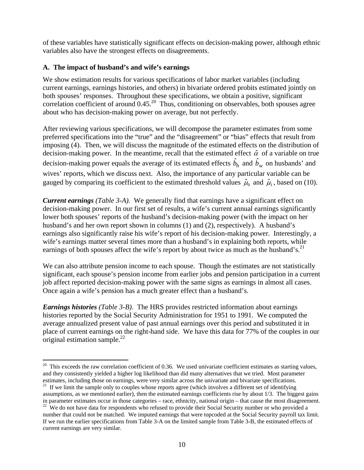of these variables have statistically significant effects on decision-making power, although ethnic variables also have the strongest effects on disagreements.

### **A. The impact of husband's and wife's earnings**

We show estimation results for various specifications of labor market variables (including current earnings, earnings histories, and others) in bivariate ordered probits estimated jointly on both spouses' responses. Throughout these specifications, we obtain a positive, significant correlation coefficient of around  $0.45<sup>20</sup>$ . Thus, conditioning on observables, both spouses agree about who has decision-making power on average, but not perfectly.

After reviewing various specifications, we will decompose the parameter estimates from some preferred specifications into the "true" and the "disagreement" or "bias" effects that result from imposing (4). Then, we will discuss the magnitude of the estimated effects on the distribution of decision-making power. In the meantime, recall that the estimated effect  $\hat{\alpha}$  of a variable on true decision-making power equals the average of its estimated effects  $\hat{b}_h$  and  $\hat{b}_w$  on husbands' and wives' reports, which we discuss next. Also, the importance of any particular variable can be gauged by comparing its coefficient to the estimated threshold values  $\hat{\mu}_0$  and  $\hat{\mu}_1$ , based on (10).

*Current earnings (Table 3-A).* We generally find that earnings have a significant effect on decision-making power. In our first set of results, a wife's current annual earnings significantly lower both spouses' reports of the husband's decision-making power (with the impact on her husband's and her own report shown in columns (1) and (2), respectively). A husband's earnings also significantly raise his wife's report of his decision-making power. Interestingly, a wife's earnings matter several times more than a husband's in explaining both reports, while earnings of both spouses affect the wife's report by about twice as much as the husband's.<sup>21</sup>

We can also attribute pension income to each spouse. Though the estimates are not statistically significant, each spouse's pension income from earlier jobs and pension participation in a current job affect reported decision-making power with the same signs as earnings in almost all cases. Once again a wife's pension has a much greater effect than a husband's.

*Earnings histories (Table 3-B)*. The HRS provides restricted information about earnings histories reported by the Social Security Administration for 1951 to 1991. We computed the average annualized present value of past annual earnings over this period and substituted it in place of current earnings on the right-hand side. We have this data for 77% of the couples in our original estimation sample. $^{22}$ 

<sup>1</sup>  $20$  This exceeds the raw correlation coefficient of 0.36. We used univariate coefficient estimates as starting values, and they consistently yielded a higher log likelihood than did many alternatives that we tried. Most parameter estimates, including those on earnings, were very similar across the univariate and bivariate specifications.

 $21$  If we limit the sample only to couples whose reports agree (which involves a different set of identifying assumptions, as we mentioned earlier), then the estimated earnings coefficients rise by about  $1/3$ . The biggest gains in parameter estimates occur in those categories – race, ethnicity, national origin – that cause the m

<sup>&</sup>lt;sup>22</sup> We do not have data for respondents who refused to provide their Social Security number or who provided a number that could not be matched. We imputed earnings that were topcoded at the Social Security payroll tax limit. If we run the earlier specifications from Table 3-A on the limited sample from Table 3-B, the estimated effects of current earnings are very similar.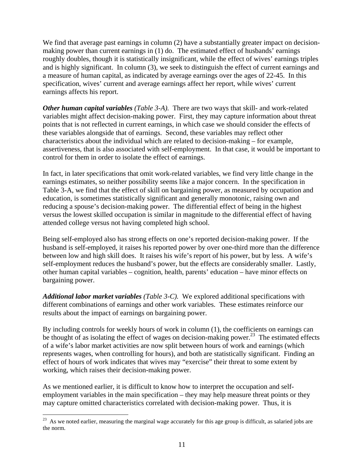We find that average past earnings in column (2) have a substantially greater impact on decisionmaking power than current earnings in (1) do. The estimated effect of husbands' earnings roughly doubles, though it is statistically insignificant, while the effect of wives' earnings triples and is highly significant. In column (3), we seek to distinguish the effect of current earnings and a measure of human capital, as indicated by average earnings over the ages of 22-45. In this specification, wives' current and average earnings affect her report, while wives' current earnings affects his report.

*Other human capital variables (Table 3-A).* There are two ways that skill- and work-related variables might affect decision-making power. First, they may capture information about threat points that is not reflected in current earnings, in which case we should consider the effects of these variables alongside that of earnings. Second, these variables may reflect other characteristics about the individual which are related to decision-making – for example, assertiveness, that is also associated with self-employment. In that case, it would be important to control for them in order to isolate the effect of earnings.

In fact, in later specifications that omit work-related variables, we find very little change in the earnings estimates, so neither possibility seems like a major concern. In the specification in Table 3-A, we find that the effect of skill on bargaining power, as measured by occupation and education, is sometimes statistically significant and generally monotonic, raising own and reducing a spouse's decision-making power. The differential effect of being in the highest versus the lowest skilled occupation is similar in magnitude to the differential effect of having attended college versus not having completed high school.

Being self-employed also has strong effects on one's reported decision-making power. If the husband is self-employed, it raises his reported power by over one-third more than the difference between low and high skill does. It raises his wife's report of his power, but by less. A wife's self-employment reduces the husband's power, but the effects are considerably smaller. Lastly, other human capital variables – cognition, health, parents' education – have minor effects on bargaining power.

*Additional labor market variables (Table 3-C).* We explored additional specifications with different combinations of earnings and other work variables. These estimates reinforce our results about the impact of earnings on bargaining power.

By including controls for weekly hours of work in column (1), the coefficients on earnings can be thought of as isolating the effect of wages on decision-making power.<sup>23</sup> The estimated effects of a wife's labor market activities are now split between hours of work and earnings (which represents wages, when controlling for hours), and both are statistically significant. Finding an effect of hours of work indicates that wives may "exercise" their threat to some extent by working, which raises their decision-making power.

As we mentioned earlier, it is difficult to know how to interpret the occupation and selfemployment variables in the main specification – they may help measure threat points or they may capture omitted characteristics correlated with decision-making power. Thus, it is

<sup>1</sup> <sup>23</sup> As we noted earlier, measuring the marginal wage accurately for this age group is difficult, as salaried jobs are the norm.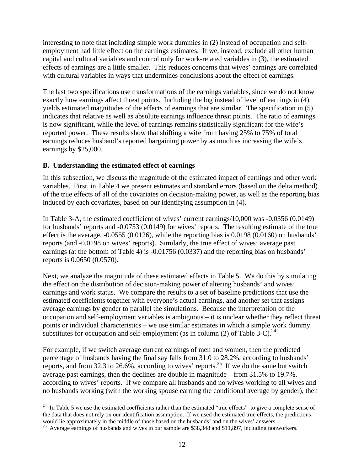interesting to note that including simple work dummies in (2) instead of occupation and selfemployment had little effect on the earnings estimates. If we, instead, exclude all other human capital and cultural variables and control only for work-related variables in (3), the estimated effects of earnings are a little smaller. This reduces concerns that wives' earnings are correlated with cultural variables in ways that undermines conclusions about the effect of earnings.

The last two specifications use transformations of the earnings variables, since we do not know exactly how earnings affect threat points. Including the log instead of level of earnings in (4) yields estimated magnitudes of the effects of earnings that are similar. The specification in (5) indicates that relative as well as absolute earnings influence threat points. The ratio of earnings is now significant, while the level of earnings remains statistically significant for the wife's reported power. These results show that shifting a wife from having 25% to 75% of total earnings reduces husband's reported bargaining power by as much as increasing the wife's earnings by \$25,000.

### **B. Understanding the estimated effect of earnings**

1

In this subsection, we discuss the magnitude of the estimated impact of earnings and other work variables. First, in Table 4 we present estimates and standard errors (based on the delta method) of the true effects of all of the covariates on decision-making power, as well as the reporting bias induced by each covariates, based on our identifying assumption in (4).

In Table 3-A, the estimated coefficient of wives' current earnings/10,000 was -0.0356 (0.0149) for husbands' reports and -0.0753 (0.0149) for wives' reports. The resulting estimate of the true effect is the average, -0.0555 (0.0126), while the reporting bias is 0.0198 (0.0160) on husbands' reports (and -0.0198 on wives' reports). Similarly, the true effect of wives' average past earnings (at the bottom of Table 4) is -0.01756 (0.0337) and the reporting bias on husbands' reports is 0.0650 (0.0570).

Next, we analyze the magnitude of these estimated effects in Table 5. We do this by simulating the effect on the distribution of decision-making power of altering husbands' and wives' earnings and work status. We compare the results to a set of baseline predictions that use the estimated coefficients together with everyone's actual earnings, and another set that assigns average earnings by gender to parallel the simulations. Because the interpretation of the occupation and self-employment variables is ambiguous – it is unclear whether they reflect threat points or individual characteristics – we use similar estimates in which a simple work dummy substitutes for occupation and self-employment (as in column (2) of Table 3-C).<sup>24</sup>

For example, if we switch average current earnings of men and women, then the predicted percentage of husbands having the final say falls from 31.0 to 28.2%, according to husbands' reports, and from 32.3 to 26.6%, according to wives' reports.<sup>25</sup> If we do the same but switch average past earnings, then the declines are double in magnitude – from 31.5% to 19.7%, according to wives' reports. If we compare all husbands and no wives working to all wives and no husbands working (with the working spouse earning the conditional average by gender), then

 $24$  In Table 5 we use the estimated coefficients rather than the estimated "true effects" to give a complete sense of the data that does not rely on our identification assumption. If we used the estimated true effects, the predictions would lie approximately in the middle of those based on the husbands' and on the wives' answers.

<sup>&</sup>lt;sup>25</sup> Average earnings of husbands and wives in our sample are \$38,348 and \$11,897, including nonworkers.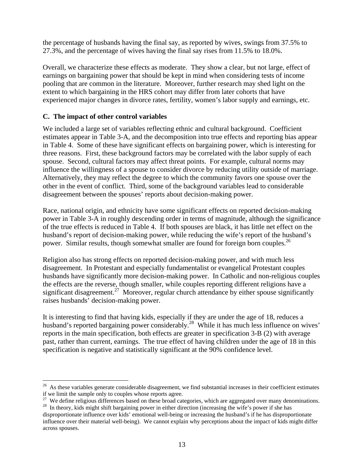the percentage of husbands having the final say, as reported by wives, swings from 37.5% to 27.3%, and the percentage of wives having the final say rises from 11.5% to 18.0%.

Overall, we characterize these effects as moderate. They show a clear, but not large, effect of earnings on bargaining power that should be kept in mind when considering tests of income pooling that are common in the literature. Moreover, further research may shed light on the extent to which bargaining in the HRS cohort may differ from later cohorts that have experienced major changes in divorce rates, fertility, women's labor supply and earnings, etc.

### **C. The impact of other control variables**

We included a large set of variables reflecting ethnic and cultural background. Coefficient estimates appear in Table 3-A, and the decomposition into true effects and reporting bias appear in Table 4. Some of these have significant effects on bargaining power, which is interesting for three reasons. First, these background factors may be correlated with the labor supply of each spouse. Second, cultural factors may affect threat points. For example, cultural norms may influence the willingness of a spouse to consider divorce by reducing utility outside of marriage. Alternatively, they may reflect the degree to which the community favors one spouse over the other in the event of conflict. Third, some of the background variables lead to considerable disagreement between the spouses' reports about decision-making power.

Race, national origin, and ethnicity have some significant effects on reported decision-making power in Table 3-A in roughly descending order in terms of magnitude, although the significance of the true effects is reduced in Table 4. If both spouses are black, it has little net effect on the husband's report of decision-making power, while reducing the wife's report of the husband's power. Similar results, though somewhat smaller are found for foreign born couples.<sup>26</sup>

Religion also has strong effects on reported decision-making power, and with much less disagreement. In Protestant and especially fundamentalist or evangelical Protestant couples husbands have significantly more decision-making power. In Catholic and non-religious couples the effects are the reverse, though smaller, while couples reporting different religions have a significant disagreement.<sup>27</sup> Moreover, regular church attendance by either spouse significantly raises husbands' decision-making power.

It is interesting to find that having kids, especially if they are under the age of 18, reduces a husband's reported bargaining power considerably.<sup>28</sup> While it has much less influence on wives' reports in the main specification, both effects are greater in specification 3-B (2) with average past, rather than current, earnings. The true effect of having children under the age of 18 in this specification is negative and statistically significant at the 90% confidence level.

<sup>1</sup>  $26$  As these variables generate considerable disagreement, we find substantial increases in their coefficient estimates if we limit the sample only to couples whose reports agree.

<sup>&</sup>lt;sup>27</sup> We define religious differences based on these broad categories, which are aggregated over many denominations. <sup>28</sup> In theory, kids might shift bargaining power in either direction (increasing the wife's power if she has

disproportionate influence over kids' emotional well-being or increasing the husband's if he has disproportionate influence over their material well-being). We cannot explain why perceptions about the impact of kids might differ across spouses.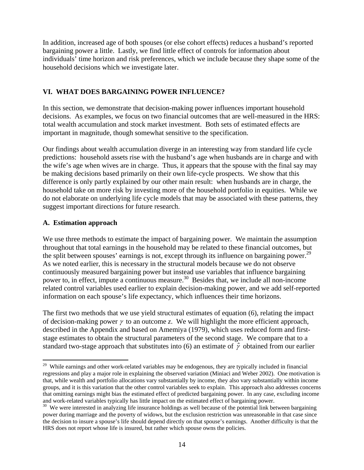In addition, increased age of both spouses (or else cohort effects) reduces a husband's reported bargaining power a little. Lastly, we find little effect of controls for information about individuals' time horizon and risk preferences, which we include because they shape some of the household decisions which we investigate later.

### **VI. WHAT DOES BARGAINING POWER INFLUENCE?**

In this section, we demonstrate that decision-making power influences important household decisions. As examples, we focus on two financial outcomes that are well-measured in the HRS: total wealth accumulation and stock market investment. Both sets of estimated effects are important in magnitude, though somewhat sensitive to the specification.

Our findings about wealth accumulation diverge in an interesting way from standard life cycle predictions: household assets rise with the husband's age when husbands are in charge and with the wife's age when wives are in charge. Thus, it appears that the spouse with the final say may be making decisions based primarily on their own life-cycle prospects. We show that this difference is only partly explained by our other main result: when husbands are in charge, the household take on more risk by investing more of the household portfolio in equities. While we do not elaborate on underlying life cycle models that may be associated with these patterns, they suggest important directions for future research.

### **A. Estimation approach**

We use three methods to estimate the impact of bargaining power. We maintain the assumption throughout that total earnings in the household may be related to these financial outcomes, but the split between spouses' earnings is not, except through its influence on bargaining power.<sup>29</sup> As we noted earlier, this is necessary in the structural models because we do not observe continuously measured bargaining power but instead use variables that influence bargaining power to, in effect, impute a continuous measure.<sup>30</sup> Besides that, we include all non-income related control variables used earlier to explain decision-making power, and we add self-reported information on each spouse's life expectancy, which influences their time horizons.

The first two methods that we use yield structural estimates of equation (6), relating the impact of decision-making power γ to an outcome *z*. We will highlight the more efficient approach, described in the Appendix and based on Amemiya (1979), which uses reduced form and firststage estimates to obtain the structural parameters of the second stage. We compare that to a standard two-stage approach that substitutes into (6) an estimate of  $\hat{\gamma}$  obtained from our earlier

<sup>1</sup> <sup>29</sup> While earnings and other work-related variables may be endogenous, they are typically included in financial regressions and play a major role in explaining the observed variation (Miniaci and Weber 2002). One motivation is that, while wealth and portfolio allocations vary substantially by income, they also vary substantially within income groups, and it is this variation that the other control variables seek to explain. This approach also addresses concerns that omitting earnings might bias the estimated effect of predicted bargaining power. In any case, excluding income and work-related variables typically has little impact on the estimated effect of bargaining power.

 $30\,$  We were interested in analyzing life insurance holdings as well because of the potential link between bargaining power during marriage and the poverty of widows, but the exclusion restriction was unreasonable in that case since the decision to insure a spouse's life should depend directly on that spouse's earnings. Another difficulty is that the HRS does not report whose life is insured, but rather which spouse owns the policies.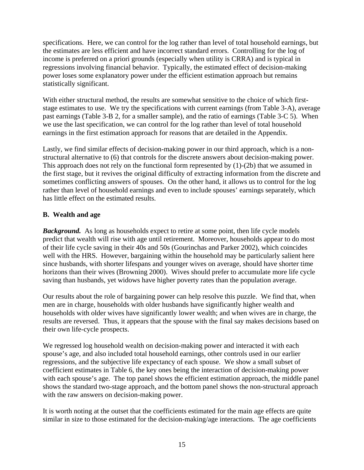specifications. Here, we can control for the log rather than level of total household earnings, but the estimates are less efficient and have incorrect standard errors. Controlling for the log of income is preferred on a priori grounds (especially when utility is CRRA) and is typical in regressions involving financial behavior. Typically, the estimated effect of decision-making power loses some explanatory power under the efficient estimation approach but remains statistically significant.

With either structural method, the results are somewhat sensitive to the choice of which firststage estimates to use. We try the specifications with current earnings (from Table 3-A), average past earnings (Table 3-B 2, for a smaller sample), and the ratio of earnings (Table 3-C 5). When we use the last specification, we can control for the log rather than level of total household earnings in the first estimation approach for reasons that are detailed in the Appendix.

Lastly, we find similar effects of decision-making power in our third approach, which is a nonstructural alternative to (6) that controls for the discrete answers about decision-making power. This approach does not rely on the functional form represented by (1)-(2b) that we assumed in the first stage, but it revives the original difficulty of extracting information from the discrete and sometimes conflicting answers of spouses. On the other hand, it allows us to control for the log rather than level of household earnings and even to include spouses' earnings separately, which has little effect on the estimated results.

### **B. Wealth and age**

**Background.** As long as households expect to retire at some point, then life cycle models predict that wealth will rise with age until retirement. Moreover, households appear to do most of their life cycle saving in their 40s and 50s (Gourinchas and Parker 2002), which coincides well with the HRS. However, bargaining within the household may be particularly salient here since husbands, with shorter lifespans and younger wives on average, should have shorter time horizons than their wives (Browning 2000). Wives should prefer to accumulate more life cycle saving than husbands, yet widows have higher poverty rates than the population average.

Our results about the role of bargaining power can help resolve this puzzle. We find that, when men are in charge, households with older husbands have significantly higher wealth and households with older wives have significantly lower wealth; and when wives are in charge, the results are reversed. Thus, it appears that the spouse with the final say makes decisions based on their own life-cycle prospects.

We regressed log household wealth on decision-making power and interacted it with each spouse's age, and also included total household earnings, other controls used in our earlier regressions, and the subjective life expectancy of each spouse. We show a small subset of coefficient estimates in Table 6, the key ones being the interaction of decision-making power with each spouse's age. The top panel shows the efficient estimation approach, the middle panel shows the standard two-stage approach, and the bottom panel shows the non-structural approach with the raw answers on decision-making power.

It is worth noting at the outset that the coefficients estimated for the main age effects are quite similar in size to those estimated for the decision-making/age interactions. The age coefficients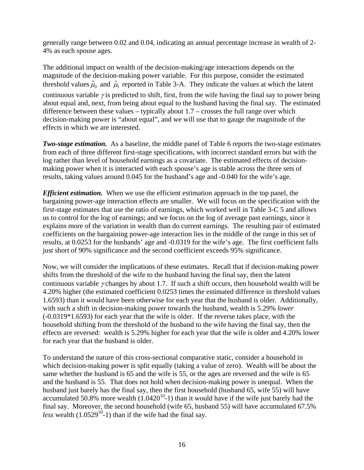generally range between 0.02 and 0.04, indicating an annual percentage increase in wealth of 2- 4% as each spouse ages.

The additional impact on wealth of the decision-making/age interactions depends on the magnitude of the decision-making power variable. For this purpose, consider the estimated threshold values  $\hat{\mu}_0$  and  $\hat{\mu}_1$  reported in Table 3-A. They indicate the values at which the latent continuous variable  $\gamma$  is predicted to shift, first, from the wife having the final say to power being about equal and, next, from being about equal to the husband having the final say. The estimated difference between these values – typically about  $1.7$  – crosses the full range over which decision-making power is "about equal", and we will use that to gauge the magnitude of the effects in which we are interested.

*Two-stage estimation.* As a baseline, the middle panel of Table 6 reports the two-stage estimates from each of three different first-stage specifications, with incorrect standard errors but with the log rather than level of household earnings as a covariate. The estimated effects of decisionmaking power when it is interacted with each spouse's age is stable across the three sets of results, taking values around 0.045 for the husband's age and -0.040 for the wife's age.

*Efficient estimation.* When we use the efficient estimation approach in the top panel, the bargaining power-age interaction effects are smaller. We will focus on the specification with the first-stage estimates that use the ratio of earnings, which worked well in Table 3-C 5 and allows us to control for the log of earnings; and we focus on the log of average past earnings, since it explains more of the variation in wealth than do current earnings. The resulting pair of estimated coefficients on the bargaining power-age interaction lies in the middle of the range in this set of results, at 0.0253 for the husbands' age and -0.0319 for the wife's age. The first coefficient falls just short of 90% significance and the second coefficient exceeds 95% significance.

Now, we will consider the implications of these estimates. Recall that if decision-making power shifts from the threshold of the wife to the husband having the final say, then the latent continuous variable  $\gamma$  changes by about 1.7. If such a shift occurs, then household wealth will be 4.20% higher (the estimated coefficient 0.0253 times the estimated difference in threshold values 1.6593) than it would have been otherwise for each year that the husband is older. Additionally, with such a shift in decision-making power towards the husband, wealth is 5.29% *lower* (-0.0319\*1.6593) for each year that the wife is older. If the reverse takes place, with the household shifting from the threshold of the husband to the wife having the final say, then the effects are reversed: wealth is 5.29% higher for each year that the wife is older and 4.20% lower for each year that the husband is older.

To understand the nature of this cross-sectional comparative static, consider a household in which decision-making power is split equally (taking a value of zero). Wealth will be about the same whether the husband is 65 and the wife is 55, or the ages are reversed and the wife is 65 and the husband is 55. That does not hold when decision-making power is unequal. When the husband just barely has the final say, then the first household (husband 65, wife 55) will have accumulated 50.8% more wealth  $(1.0420^{10} - 1)$  than it would have if the wife just barely had the final say. Moreover, the second household (wife 65, husband 55) will have accumulated 67.5% *less* wealth  $(1.0529^{10} - 1)$  than if the wife had the final say.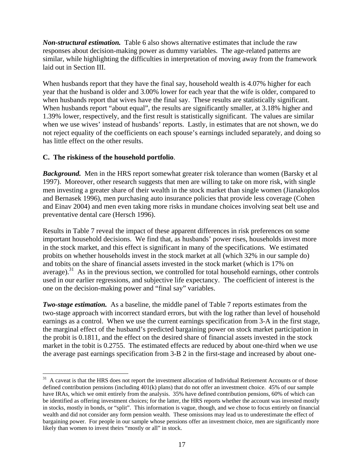*Non-structural estimation.* Table 6 also shows alternative estimates that include the raw responses about decision-making power as dummy variables. The age-related patterns are similar, while highlighting the difficulties in interpretation of moving away from the framework laid out in Section III.

When husbands report that they have the final say, household wealth is 4.07% higher for each year that the husband is older and 3.00% lower for each year that the wife is older, compared to when husbands report that wives have the final say. These results are statistically significant. When husbands report "about equal", the results are significantly smaller, at 3.18% higher and 1.39% lower, respectively, and the first result is statistically significant. The values are similar when we use wives' instead of husbands' reports. Lastly, in estimates that are not shown, we do not reject equality of the coefficients on each spouse's earnings included separately, and doing so has little effect on the other results.

#### **C. The riskiness of the household portfolio**.

1

**Background.** Men in the HRS report somewhat greater risk tolerance than women (Barsky et al 1997). Moreover, other research suggests that men are willing to take on more risk, with single men investing a greater share of their wealth in the stock market than single women (Jianakoplos and Bernasek 1996), men purchasing auto insurance policies that provide less coverage (Cohen and Einav 2004) and men even taking more risks in mundane choices involving seat belt use and preventative dental care (Hersch 1996).

Results in Table 7 reveal the impact of these apparent differences in risk preferences on some important household decisions. We find that, as husbands' power rises, households invest more in the stock market, and this effect is significant in many of the specifications. We estimated probits on whether households invest in the stock market at all (which 32% in our sample do) and tobits on the share of financial assets invested in the stock market (which is 17% on average).<sup>31</sup> As in the previous section, we controlled for total household earnings, other controls used in our earlier regressions, and subjective life expectancy. The coefficient of interest is the one on the decision-making power and "final say" variables.

*Two-stage estimation.* As a baseline, the middle panel of Table 7 reports estimates from the two-stage approach with incorrect standard errors, but with the log rather than level of household earnings as a control. When we use the current earnings specification from 3-A in the first stage, the marginal effect of the husband's predicted bargaining power on stock market participation in the probit is 0.1811, and the effect on the desired share of financial assets invested in the stock market in the tobit is 0.2755. The estimated effects are reduced by about one-third when we use the average past earnings specification from 3-B 2 in the first-stage and increased by about one-

 $31$  A caveat is that the HRS does not report the investment allocation of Individual Retirement Accounts or of those defined contribution pensions (including 401(k) plans) that do not offer an investment choice. 45% of our sample have IRAs, which we omit entirely from the analysis. 35% have defined contribution pensions, 60% of which can be identified as offering investment choices; for the latter, the HRS reports whether the account was invested mostly in stocks, mostly in bonds, or "split". This information is vague, though, and we chose to focus entirely on financial wealth and did not consider any form pension wealth. These omissions may lead us to underestimate the effect of bargaining power. For people in our sample whose pensions offer an investment choice, men are significantly more likely than women to invest theirs "mostly or all" in stock.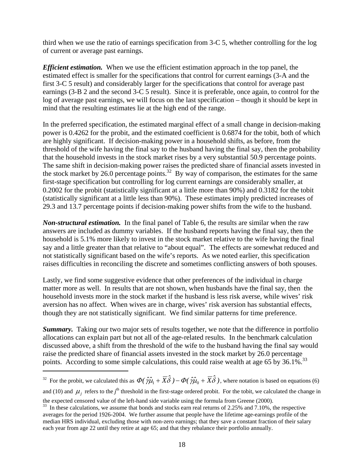third when we use the ratio of earnings specification from 3-C 5, whether controlling for the log of current or average past earnings.

*Efficient estimation.* When we use the efficient estimation approach in the top panel, the estimated effect is smaller for the specifications that control for current earnings (3-A and the first 3-C 5 result) and considerably larger for the specifications that control for average past earnings (3-B 2 and the second 3-C 5 result). Since it is preferable, once again, to control for the log of average past earnings, we will focus on the last specification – though it should be kept in mind that the resulting estimates lie at the high end of the range.

In the preferred specification, the estimated marginal effect of a small change in decision-making power is 0.4262 for the probit, and the estimated coefficient is 0.6874 for the tobit, both of which are highly significant. If decision-making power in a household shifts, as before, from the threshold of the wife having the final say to the husband having the final say, then the probability that the household invests in the stock market rises by a very substantial 50.9 percentage points. The same shift in decision-making power raises the predicted share of financial assets invested in the stock market by 26.0 percentage points.<sup>32</sup> By way of comparison, the estimates for the same first-stage specification but controlling for log current earnings are considerably smaller, at 0.2002 for the probit (statistically significant at a little more than 90%) and 0.3182 for the tobit (statistically significant at a little less than 90%). These estimates imply predicted increases of 29.3 and 13.7 percentage points if decision-making power shifts from the wife to the husband.

*Non-structural estimation.* In the final panel of Table 6, the results are similar when the raw answers are included as dummy variables. If the husband reports having the final say, then the household is 5.1% more likely to invest in the stock market relative to the wife having the final say and a little greater than that relative to "about equal". The effects are somewhat reduced and not statistically significant based on the wife's reports. As we noted earlier, this specification raises difficulties in reconciling the discrete and sometimes conflicting answers of both spouses.

Lastly, we find some suggestive evidence that other preferences of the individual in charge matter more as well. In results that are not shown, when husbands have the final say, then the household invests more in the stock market if the husband is less risk averse, while wives' risk aversion has no affect. When wives are in charge, wives' risk aversion has substantial effects, though they are not statistically significant. We find similar patterns for time preference.

*Summary.* Taking our two major sets of results together, we note that the difference in portfolio allocations can explain part but not all of the age-related results. In the benchmark calculation discussed above, a shift from the threshold of the wife to the husband having the final say would raise the predicted share of financial assets invested in the stock market by 26.0 percentage points. According to some simple calculations, this could raise wealth at age 65 by  $36.1\%$ .<sup>33</sup>

1

and (10) and  $\mu_j$  refers to the *j*<sup>th</sup> threshold in the first-stage ordered probit. For the tobit, we calculated the change in the expected censored value of the left-hand side variable using the formula from Greene (2000).

<sup>&</sup>lt;sup>32</sup> For the probit, we calculated this as  $\Phi(\hat{\gamma}\hat{\mu}_1 + \overline{X}\hat{\delta}) - \Phi(\hat{\gamma}\hat{\mu}_0 + \overline{X}\hat{\delta})$ , where notation is based on equations (6)

<sup>&</sup>lt;sup>33</sup> In these calculations, we assume that bonds and stocks earn real returns of 2.25% and 7.10%, the respective averages for the period 1926-2004. We further assume that people have the lifetime age-earnings profile of the median HRS individual, excluding those with non-zero earnings; that they save a constant fraction of their salary each year from age 22 until they retire at age 65; and that they rebalance their portfolio annually.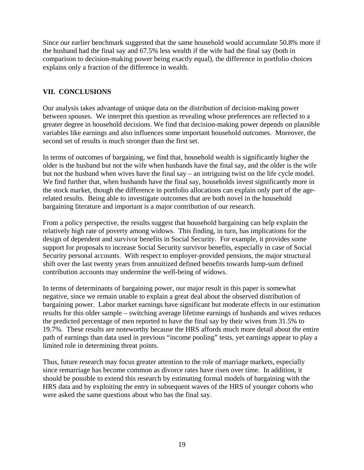Since our earlier benchmark suggested that the same household would accumulate 50.8% more if the husband had the final say and 67.5% less wealth if the wife had the final say (both in comparison to decision-making power being exactly equal), the difference in portfolio choices explains only a fraction of the difference in wealth.

### **VII. CONCLUSIONS**

Our analysis takes advantage of unique data on the distribution of decision-making power between spouses. We interpret this question as revealing whose preferences are reflected to a greater degree in household decisions. We find that decision-making power depends on plausible variables like earnings and also influences some important household outcomes. Moreover, the second set of results is much stronger than the first set.

In terms of outcomes of bargaining, we find that, household wealth is significantly higher the older is the husband but not the wife when husbands have the final say, and the older is the wife but not the husband when wives have the final say – an intriguing twist on the life cycle model. We find further that, when husbands have the final say, households invest significantly more in the stock market, though the difference in portfolio allocations can explain only part of the agerelated results. Being able to investigate outcomes that are both novel in the household bargaining literature and important is a major contribution of our research.

From a policy perspective, the results suggest that household bargaining can help explain the relatively high rate of poverty among widows. This finding, in turn, has implications for the design of dependent and survivor benefits in Social Security. For example, it provides some support for proposals to increase Social Security survivor benefits, especially in case of Social Security personal accounts. With respect to employer-provided pensions, the major structural shift over the last twenty years from annuitized defined benefits towards lump-sum defined contribution accounts may undermine the well-being of widows.

In terms of determinants of bargaining power, our major result in this paper is somewhat negative, since we remain unable to explain a great deal about the observed distribution of bargaining power. Labor market earnings have significant but moderate effects in our estimation results for this older sample – switching average lifetime earnings of husbands and wives reduces the predicted percentage of men reported to have the final say by their wives from 31.5% to 19.7%. These results are noteworthy because the HRS affords much more detail about the entire path of earnings than data used in previous "income pooling" tests, yet earnings appear to play a limited role in determining threat points.

Thus, future research may focus greater attention to the role of marriage markets, especially since remarriage has become common as divorce rates have risen over time. In addition, it should be possible to extend this research by estimating formal models of bargaining with the HRS data and by exploiting the entry in subsequent waves of the HRS of younger cohorts who were asked the same questions about who has the final say.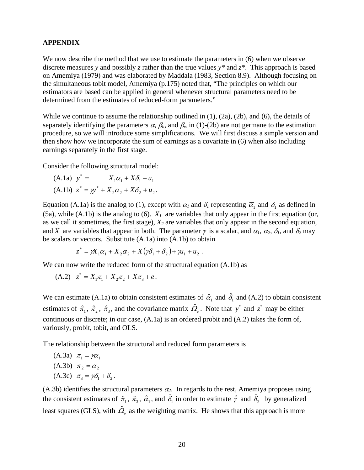#### **APPENDIX**

We now describe the method that we use to estimate the parameters in  $(6)$  when we observe discrete measures *y* and possibly *z* rather than the true values *y\** and *z\**. This approach is based on Amemiya (1979) and was elaborated by Maddala (1983, Section 8.9). Although focusing on the simultaneous tobit model, Amemiya (p.175) noted that, "The principles on which our estimators are based can be applied in general whenever structural parameters need to be determined from the estimates of reduced-form parameters."

While we continue to assume the relationship outlined in  $(1)$ ,  $(2a)$ ,  $(2b)$ , and  $(6)$ , the details of separately identifying the parameters  $\alpha$ ,  $\beta_h$ , and  $\beta_w$  in (1)-(2b) are not germane to the estimation procedure, so we will introduce some simplifications. We will first discuss a simple version and then show how we incorporate the sum of earnings as a covariate in (6) when also including earnings separately in the first stage.

Consider the following structural model:

(A.1a) 
$$
y^* = X_1 \alpha_1 + X \delta_1 + u_1
$$
  
(A.1b)  $z^* = \gamma y^* + X_2 \alpha_2 + X \delta_2 + u_2$ .

Equation (A.1a) is the analog to (1), except with  $\alpha_l$  and  $\delta_l$  representing  $\overline{\alpha}_1$  and  $\overline{\delta}_1$  as defined in (5a), while (A.1b) is the analog to (6).  $X<sub>1</sub>$  are variables that only appear in the first equation (or, as we call it sometimes, the first stage), *X2* are variables that only appear in the second equation, and *X* are variables that appear in both. The parameter  $\gamma$  is a scalar, and  $\alpha_1$ ,  $\alpha_2$ ,  $\delta_1$ , and  $\delta_2$  may be scalars or vectors. Substitute (A.1a) into (A.1b) to obtain

$$
z^* = \gamma X_1 \alpha_1 + X_2 \alpha_2 + X(\gamma \delta_1 + \delta_2) + \gamma u_1 + u_2.
$$

We can now write the reduced form of the structural equation  $(A.1b)$  as

(A.2) 
$$
z^* = X_1 \pi_1 + X_2 \pi_2 + X \pi_3 + e
$$
.

We can estimate (A.1a) to obtain consistent estimates of  $\hat{\alpha}_1$  and  $\hat{\delta}_1$  and (A.2) to obtain consistent estimates of  $\hat{\pi}_1$ ,  $\hat{\pi}_2$ ,  $\hat{\pi}_3$ , and the covariance matrix  $\hat{\Omega}_e$ . Note that  $y^*$  and  $z^*$  may be either continuous or discrete; in our case, (A.1a) is an ordered probit and (A.2) takes the form of, variously, probit, tobit, and OLS.

The relationship between the structural and reduced form parameters is

(A.3a) 
$$
\pi_1 = \gamma \alpha_1
$$
  
(A.3b)  $\pi_2 = \alpha_2$   
(A.3c)  $\pi_3 = \gamma \delta_1 + \delta_2$ .

(A.3b) identifies the structural parameters  $\alpha_2$ . In regards to the rest, Amemiya proposes using the consistent estimates of  $\hat{\pi}_1$ ,  $\hat{\pi}_3$ ,  $\hat{\alpha}_1$ , and  $\hat{\delta}_1$  in order to estimate  $\hat{\gamma}$  and  $\hat{\delta}_2$  by generalized least squares (GLS), with  $\hat{\Omega}_e$  as the weighting matrix. He shows that this approach is more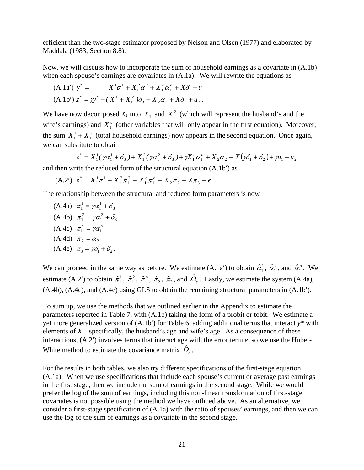efficient than the two-stage estimator proposed by Nelson and Olsen (1977) and elaborated by Maddala (1983, Section 8.8).

Now, we will discuss how to incorporate the sum of household earnings as a covariate in (A.1b) when each spouse's earnings are covariates in (A.1a). We will rewrite the equations as

(A.1a') 
$$
y^* = X_1^1 \alpha_1^1 + X_1^2 \alpha_1^2 + X_1^0 \alpha_1^0 + X \delta_1 + u_1
$$
  
(A.1b')  $z^* = \gamma y^* + (X_1^1 + X_1^2) \delta_3 + X_2 \alpha_2 + X \delta_2 + u_2$ .

We have now decomposed  $X_1$  into  $X_1^1$  and  $X_1^2$  (which will represent the husband's and the wife's earnings) and  $X_1^o$  (other variables that will only appear in the first equation). Moreover, the sum  $X_1^1 + X_1^2$  (total household earnings) now appears in the second equation. Once again, we can substitute to obtain

 $z^* = X_1^1(\gamma\alpha_1^1 + \delta_3^1) + X_1^2(\gamma\alpha_1^2 + \delta_3^1) + \gamma X_1^o\alpha_1^o + X_2\alpha_2^1 + X(\gamma\delta_1^1 + \delta_2^1) + \gamma u_1^1 + u_2^1$ 1 2  $_3$   $/$   $\pi$   $_{1}$ 1 1  $z^* = X_1^1(\gamma\alpha_1^1 + \delta_3^1) + X_1^2(\gamma\alpha_1^2 + \delta_3^1) + \gamma X_1^o\alpha_1^o + X_2\alpha_2^1 + X(\gamma\delta_1^1 + \delta_2^1) + \gamma u_1^1 + u_2^1$ 

and then write the reduced form of the structural equation (A.1b′) as

 $(A.2')$   $z^* = X_1^1 \pi_1^1 + X_1^2 \pi_1^2 + X_1^o \pi_1^o + X_2 \pi_2 + X \pi_3 + e$ 2 1 1 1  ${}_{1}^{1}\pi_{1}^{1} + X_{1}^{2}\pi_{1}^{2} + X_{1}^{o}\pi_{1}^{o} + X_{2}\pi_{2} + X\pi_{3} + e$ .

The relationship between the structural and reduced form parameters is now

(A.4a)  $\pi_1^1 = \gamma \alpha_1^1 + \delta_3$  $\pi^1_1 = \gamma \alpha^1_1 + \delta^1_2$ (A.4b)  $\pi_1^2 = \gamma \alpha_1^2 + \delta_3$  $\pi_1^2 = \gamma \alpha_1^2 + \delta_2^2$ (A.4c)  $\pi_1^o = \gamma \alpha_1^o$  $(A.4d)$   $\pi_2 = \alpha_2$ (A.4e)  $\pi_3 = \gamma \delta_1 + \delta_2$ .

We can proceed in the same way as before. We estimate (A.1a<sup>'</sup>) to obtain  $\hat{\alpha}_1^1$ ,  $\hat{\alpha}_1^2$ , and  $\hat{\alpha}_1^o$ . We estimate (A.2') to obtain  $\hat{\pi}_1^1$ ,  $\hat{\pi}_1^2$ ,  $\hat{\pi}_1^o$ ,  $\hat{\pi}_2$ ,  $\hat{\pi}_3$ , and  $\hat{\Omega}_e$ . Lastly, we estimate the system (A.4a), (A.4b), (A.4c), and (A.4e) using GLS to obtain the remaining structural parameters in (A.1b′).

To sum up, we use the methods that we outlined earlier in the Appendix to estimate the parameters reported in Table 7, with (A.1b) taking the form of a probit or tobit. We estimate a yet more generalized version of (A.1b′) for Table 6, adding additional terms that interact *y\** with elements of  $X$  – specifically, the husband's age and wife's age. As a consequence of these interactions, (A.2′) involves terms that interact age with the error term *e*, so we use the Huber-White method to estimate the covariance matrix  $\hat{Q}_e$ .

For the results in both tables, we also try different specifications of the first-stage equation (A.1a). When we use specifications that include each spouse's current or average past earnings in the first stage, then we include the sum of earnings in the second stage. While we would prefer the log of the sum of earnings, including this non-linear transformation of first-stage covariates is not possible using the method we have outlined above. As an alternative, we consider a first-stage specification of (A.1a) with the ratio of spouses' earnings, and then we can use the log of the sum of earnings as a covariate in the second stage.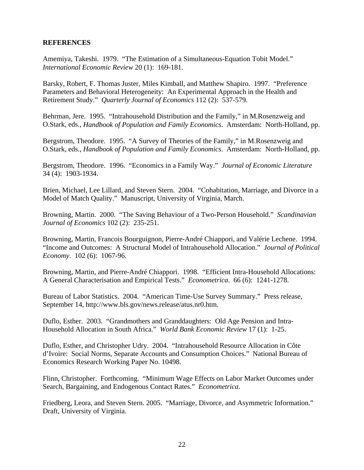#### **REFERENCES**

Amemiya, Takeshi. 1979. "The Estimation of a Simultaneous-Equation Tobit Model." *International Economic Review* 20 (1): 169-181.

Barsky, Robert, F. Thomas Juster, Miles Kimball, and Matthew Shapiro. 1997. "Preference Parameters and Behavioral Heterogeneity: An Experimental Approach in the Health and Retirement Study." *Quarterly Journal of Economics* 112 (2): 537-579.

Behrman, Jere. 1995. "Intrahousehold Distribution and the Family," in M.Rosenzweig and O.Stark, eds., *Handbook of Population and Family Economics*. Amsterdam: North-Holland, pp.

Bergstrom, Theodore. 1995. "A Survey of Theories of the Family," in M.Rosenzweig and O.Stark, eds., *Handbook of Population and Family Economics*. Amsterdam: North-Holland, pp.

Bergstrom, Theodore. 1996. "Economics in a Family Way." *Journal of Economic Literature* 34 (4): 1903-1934.

Brien, Michael, Lee Lillard, and Steven Stern. 2004. "Cohabitation, Marriage, and Divorce in a Model of Match Quality." Manuscript, University of Virginia, March.

Browning, Martin. 2000. "The Saving Behaviour of a Two-Person Household." *Scandinavian Journal of Economics* 102 (2): 235-251.

Browning, Martin, Francois Bourguignon, Pierre-André Chiappori, and Valérie Lechene. 1994. "Income and Outcomes: A Structural Model of Intrahousehold Allocation." *Journal of Political Economy*. 102 (6): 1067-96.

Browning, Martin, and Pierre-André Chiappori. 1998. "Efficient Intra-Household Allocations: A General Characterisation and Empirical Tests." *Econometrica*. 66 (6): 1241-1278.

Bureau of Labor Statistics. 2004. "American Time-Use Survey Summary." Press release, September 14, http://www.bls.gov/news.release/atus.nr0.htm.

Duflo, Esther. 2003. "Grandmothers and Granddaughters: Old Age Pension and Intra-Household Allocation in South Africa." *World Bank Economic Review* 17 (1): 1-25.

Duflo, Esther, and Christopher Udry. 2004. "Intrahousehold Resource Allocation in Côte d'Ivoire: Social Norms, Separate Accounts and Consumption Choices." National Bureau of Economics Research Working Paper No. 10498.

Flinn, Christopher. Forthcoming. "Minimum Wage Effects on Labor Market Outcomes under Search, Bargaining, and Endogenous Contact Rates." *Econometrica*.

Friedberg, Leora, and Steven Stern. 2005. "Marriage, Divorce, and Asymmetric Information." Draft, University of Virginia.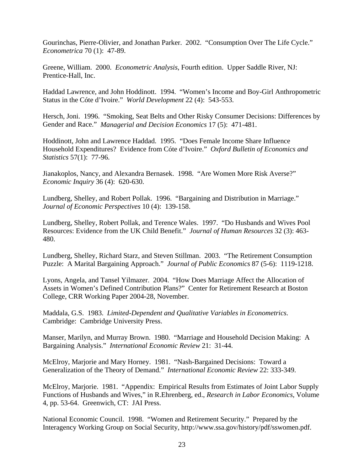Gourinchas, Pierre-Olivier, and Jonathan Parker. 2002. "Consumption Over The Life Cycle." *Econometrica* 70 (1): 47-89.

Greene, William. 2000. *Econometric Analysis*, Fourth edition. Upper Saddle River, NJ: Prentice-Hall, Inc.

Haddad Lawrence, and John Hoddinott. 1994. "Women's Income and Boy-Girl Anthropometric Status in the Cóte d'Ivoire." *World Development* 22 (4): 543-553.

Hersch, Joni. 1996. "Smoking, Seat Belts and Other Risky Consumer Decisions: Differences by Gender and Race." *Managerial and Decision Economics* 17 (5): 471-481.

Hoddinott, John and Lawrence Haddad. 1995. "Does Female Income Share Influence Household Expenditures? Evidence from Cóte d'Ivoire." *Oxford Bulletin of Economics and Statistics* 57(1): 77-96.

Jianakoplos, Nancy, and Alexandra Bernasek. 1998. "Are Women More Risk Averse?" *Economic Inquiry* 36 (4): 620-630.

Lundberg, Shelley, and Robert Pollak. 1996. "Bargaining and Distribution in Marriage." *Journal of Economic Perspectives* 10 (4): 139-158.

Lundberg, Shelley, Robert Pollak, and Terence Wales. 1997. "Do Husbands and Wives Pool Resources: Evidence from the UK Child Benefit." *Journal of Human Resources* 32 (3): 463- 480.

Lundberg, Shelley, Richard Starz, and Steven Stillman. 2003. "The Retirement Consumption Puzzle: A Marital Bargaining Approach." *Journal of Public Economics* 87 (5-6): 1119-1218.

Lyons, Angela, and Tansel Yilmazer. 2004. "How Does Marriage Affect the Allocation of Assets in Women's Defined Contribution Plans?" Center for Retirement Research at Boston College, CRR Working Paper 2004-28, November.

Maddala, G.S. 1983. *Limited-Dependent and Qualitative Variables in Econometrics*. Cambridge: Cambridge University Press.

Manser, Marilyn, and Murray Brown. 1980. "Marriage and Household Decision Making: A Bargaining Analysis." *International Economic Review* 21: 31-44.

McElroy, Marjorie and Mary Horney. 1981. "Nash-Bargained Decisions: Toward a Generalization of the Theory of Demand." *International Economic Review* 22: 333-349.

McElroy, Marjorie. 1981. "Appendix: Empirical Results from Estimates of Joint Labor Supply Functions of Husbands and Wives," in R.Ehrenberg, ed., *Research in Labor Economics*, Volume 4, pp. 53-64. Greenwich, CT: JAI Press.

National Economic Council. 1998. "Women and Retirement Security." Prepared by the Interagency Working Group on Social Security, http://www.ssa.gov/history/pdf/sswomen.pdf.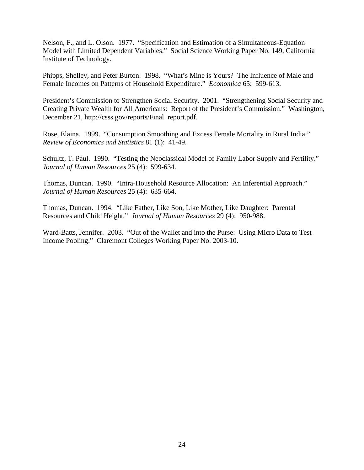Nelson, F., and L. Olson. 1977. "Specification and Estimation of a Simultaneous-Equation Model with Limited Dependent Variables." Social Science Working Paper No. 149, California Institute of Technology.

Phipps, Shelley, and Peter Burton. 1998. "What's Mine is Yours? The Influence of Male and Female Incomes on Patterns of Household Expenditure." *Economica* 65: 599-613.

President's Commission to Strengthen Social Security. 2001. "Strengthening Social Security and Creating Private Wealth for All Americans: Report of the President's Commission." Washington, December 21, http://csss.gov/reports/Final\_report.pdf.

Rose, Elaina. 1999. "Consumption Smoothing and Excess Female Mortality in Rural India." *Review of Economics and Statistics* 81 (1): 41-49.

Schultz, T. Paul. 1990. "Testing the Neoclassical Model of Family Labor Supply and Fertility." *Journal of Human Resources* 25 (4): 599-634.

Thomas, Duncan. 1990. "Intra-Household Resource Allocation: An Inferential Approach." *Journal of Human Resources* 25 (4): 635-664.

Thomas, Duncan. 1994. "Like Father, Like Son, Like Mother, Like Daughter: Parental Resources and Child Height." *Journal of Human Resources* 29 (4): 950-988.

Ward-Batts, Jennifer. 2003. "Out of the Wallet and into the Purse: Using Micro Data to Test Income Pooling." Claremont Colleges Working Paper No. 2003-10.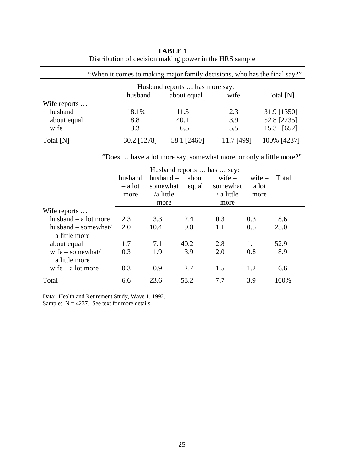| "When it comes to making major family decisions, who has the final say?" |                            |                                |                                                                      |                                            |                           |             |  |
|--------------------------------------------------------------------------|----------------------------|--------------------------------|----------------------------------------------------------------------|--------------------------------------------|---------------------------|-------------|--|
|                                                                          |                            | Husband reports  has more say: |                                                                      |                                            |                           |             |  |
|                                                                          | husband                    |                                | about equal                                                          | wife                                       |                           | Total [N]   |  |
| Wife reports                                                             |                            |                                |                                                                      |                                            |                           |             |  |
| husband                                                                  | 18.1%                      |                                | 11.5                                                                 | 2.3                                        |                           | 31.9 [1350] |  |
| about equal                                                              | 8.8                        |                                | 40.1                                                                 | 3.9                                        |                           | 52.8 [2235] |  |
| wife                                                                     | 3.3                        |                                | 6.5                                                                  | 5.5                                        |                           | 15.3 [652]  |  |
| Total [N]                                                                | 30.2 [1278]                |                                | 58.1 [2460]                                                          | 11.7 [499]                                 |                           | 100% [4237] |  |
| "Does  have a lot more say, somewhat more, or only a little more?"       |                            |                                |                                                                      |                                            |                           |             |  |
|                                                                          | husband<br>– a lot<br>more | /a little<br>more              | Husband reports  has  say:<br>$husband - about$<br>somewhat<br>equal | $wife -$<br>somewhat<br>/ a little<br>more | $wife -$<br>a lot<br>more | Total       |  |
| Wife reports                                                             |                            |                                |                                                                      |                                            |                           |             |  |
| husband $-$ a lot more                                                   | 2.3                        | 3.3                            | 2.4                                                                  | 0.3                                        | 0.3                       | 8.6         |  |
| husband - somewhat/                                                      | 2.0                        | 10.4                           | 9.0                                                                  | 1.1                                        | 0.5                       | 23.0        |  |
| a little more                                                            |                            |                                |                                                                      |                                            |                           |             |  |
| about equal                                                              | 1.7                        | 7.1                            | 40.2                                                                 | 2.8                                        | 1.1                       | 52.9        |  |
| wife - somewhat/                                                         | 0.3                        | 1.9                            | 3.9                                                                  | 2.0                                        | 0.8                       | 8.9         |  |
| a little more                                                            |                            |                                |                                                                      |                                            |                           |             |  |
| wife $-$ a lot more                                                      | 0.3                        | 0.9                            | 2.7                                                                  | 1.5                                        | 1.2                       | 6.6         |  |
| Total                                                                    | 6.6                        | 23.6                           | 58.2                                                                 | 7.7                                        | 3.9                       | 100%        |  |

**TABLE 1** Distribution of decision making power in the HRS sample

Data: Health and Retirement Study, Wave 1, 1992. Sample:  $N = 4237$ . See text for more details.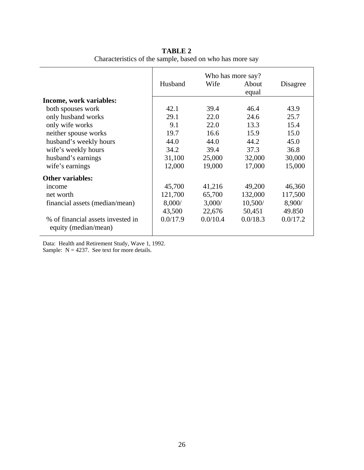|                                                           | Who has more say? |          |          |          |  |
|-----------------------------------------------------------|-------------------|----------|----------|----------|--|
|                                                           | Husband           | Wife     | About    | Disagree |  |
|                                                           |                   |          | equal    |          |  |
| Income, work variables:                                   |                   |          |          |          |  |
| both spouses work                                         | 42.1              | 39.4     | 46.4     | 43.9     |  |
| only husband works                                        | 29.1              | 22.0     | 24.6     | 25.7     |  |
| only wife works                                           | 9.1               | 22.0     | 13.3     | 15.4     |  |
| neither spouse works                                      | 19.7              | 16.6     | 15.9     | 15.0     |  |
| husband's weekly hours                                    | 44.0              | 44.0     | 44.2     | 45.0     |  |
| wife's weekly hours                                       | 34.2              | 39.4     | 37.3     | 36.8     |  |
| husband's earnings                                        | 31,100            | 25,000   | 32,000   | 30,000   |  |
| wife's earnings                                           | 12,000            | 19,000   | 17,000   | 15,000   |  |
| <b>Other variables:</b>                                   |                   |          |          |          |  |
| income                                                    | 45,700            | 41,216   | 49,200   | 46,360   |  |
| net worth                                                 | 121,700           | 65,700   | 132,000  | 117,500  |  |
| financial assets (median/mean)                            | 8,000/            | 3,000/   | 10,500/  | 8,900/   |  |
|                                                           | 43,500            | 22,676   | 50,451   | 49.850   |  |
| % of financial assets invested in<br>equity (median/mean) | 0.0/17.9          | 0.0/10.4 | 0.0/18.3 | 0.0/17.2 |  |

**TABLE 2** Characteristics of the sample, based on who has more say

Data: Health and Retirement Study, Wave 1, 1992. Sample:  $N = 4237$ . See text for more details.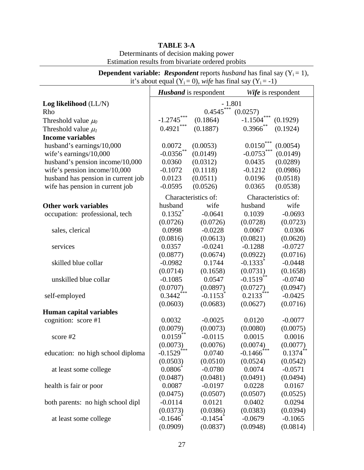| it's about equal $(Y_i = 0)$ , wife has final say $(Y_i = -1)$                                                                                                 |                                                                                                                                                  |                                                                                                                                              |                                                                                                                                             |                                                                                                                                              |  |  |  |  |
|----------------------------------------------------------------------------------------------------------------------------------------------------------------|--------------------------------------------------------------------------------------------------------------------------------------------------|----------------------------------------------------------------------------------------------------------------------------------------------|---------------------------------------------------------------------------------------------------------------------------------------------|----------------------------------------------------------------------------------------------------------------------------------------------|--|--|--|--|
|                                                                                                                                                                | <b>Husband</b> is respondent<br>Wife is respondent                                                                                               |                                                                                                                                              |                                                                                                                                             |                                                                                                                                              |  |  |  |  |
| Log likelihood (LL/N)                                                                                                                                          | $-1.801$                                                                                                                                         |                                                                                                                                              |                                                                                                                                             |                                                                                                                                              |  |  |  |  |
| Rho                                                                                                                                                            | $0.4545***$<br>(0.0257)                                                                                                                          |                                                                                                                                              |                                                                                                                                             |                                                                                                                                              |  |  |  |  |
| Threshold value $\mu_0$                                                                                                                                        | $-1.2745***$                                                                                                                                     | (0.1864)                                                                                                                                     | ***<br>$-1.1504$                                                                                                                            | (0.1929)                                                                                                                                     |  |  |  |  |
| Threshold value $\mu_l$                                                                                                                                        | $0.4921$ ***                                                                                                                                     | (0.1887)                                                                                                                                     | $0.3966$ **                                                                                                                                 | (0.1924)                                                                                                                                     |  |  |  |  |
| <b>Income variables</b>                                                                                                                                        |                                                                                                                                                  |                                                                                                                                              |                                                                                                                                             |                                                                                                                                              |  |  |  |  |
| husband's earnings/10,000                                                                                                                                      | 0.0072                                                                                                                                           | (0.0053)                                                                                                                                     | $0.0150***$                                                                                                                                 | (0.0054)                                                                                                                                     |  |  |  |  |
| wife's earnings/10,000                                                                                                                                         | $-0.0356$ **                                                                                                                                     | (0.0149)                                                                                                                                     | $-0.0753***$                                                                                                                                | (0.0149)                                                                                                                                     |  |  |  |  |
| husband's pension income/10,000                                                                                                                                | 0.0360                                                                                                                                           | (0.0312)                                                                                                                                     | 0.0435                                                                                                                                      | (0.0289)                                                                                                                                     |  |  |  |  |
| wife's pension income/10,000                                                                                                                                   | $-0.1072$                                                                                                                                        | (0.1118)                                                                                                                                     | $-0.1212$                                                                                                                                   | (0.0986)                                                                                                                                     |  |  |  |  |
| husband has pension in current job                                                                                                                             | 0.0123                                                                                                                                           | (0.0511)                                                                                                                                     | 0.0196                                                                                                                                      | (0.0518)                                                                                                                                     |  |  |  |  |
| wife has pension in current job                                                                                                                                | $-0.0595$                                                                                                                                        | (0.0526)                                                                                                                                     | 0.0365                                                                                                                                      | (0.0538)                                                                                                                                     |  |  |  |  |
|                                                                                                                                                                |                                                                                                                                                  | Characteristics of:                                                                                                                          |                                                                                                                                             | Characteristics of:                                                                                                                          |  |  |  |  |
| <b>Other work variables</b>                                                                                                                                    | husband                                                                                                                                          | wife                                                                                                                                         | husband                                                                                                                                     | wife                                                                                                                                         |  |  |  |  |
| occupation: professional, tech                                                                                                                                 | $0.1352^*$                                                                                                                                       | $-0.0641$                                                                                                                                    | 0.1039                                                                                                                                      | $-0.0693$                                                                                                                                    |  |  |  |  |
|                                                                                                                                                                | (0.0726)                                                                                                                                         | (0.0726)                                                                                                                                     | (0.0728)                                                                                                                                    | (0.0723)                                                                                                                                     |  |  |  |  |
| sales, clerical                                                                                                                                                | 0.0998                                                                                                                                           | $-0.0228$                                                                                                                                    | 0.0067                                                                                                                                      | 0.0306                                                                                                                                       |  |  |  |  |
|                                                                                                                                                                | (0.0816)                                                                                                                                         | (0.0613)                                                                                                                                     | (0.0821)                                                                                                                                    | (0.0620)                                                                                                                                     |  |  |  |  |
| services                                                                                                                                                       | 0.0357                                                                                                                                           | $-0.0241$                                                                                                                                    | $-0.1288$                                                                                                                                   | $-0.0727$                                                                                                                                    |  |  |  |  |
|                                                                                                                                                                | (0.0877)                                                                                                                                         | (0.0674)                                                                                                                                     | (0.0922)                                                                                                                                    | (0.0716)                                                                                                                                     |  |  |  |  |
| skilled blue collar                                                                                                                                            | $-0.0982$                                                                                                                                        | 0.1744                                                                                                                                       | $-0.1333$ <sup>*</sup>                                                                                                                      | $-0.0448$                                                                                                                                    |  |  |  |  |
|                                                                                                                                                                | (0.0714)                                                                                                                                         | (0.1658)                                                                                                                                     | (0.0731)                                                                                                                                    | (0.1658)                                                                                                                                     |  |  |  |  |
| unskilled blue collar                                                                                                                                          | $-0.1085$                                                                                                                                        | 0.0547                                                                                                                                       | $-0.1519**$                                                                                                                                 | $-0.0740$                                                                                                                                    |  |  |  |  |
|                                                                                                                                                                | (0.0707)                                                                                                                                         | (0.0897)                                                                                                                                     | (0.0727)                                                                                                                                    | (0.0947)                                                                                                                                     |  |  |  |  |
| self-employed                                                                                                                                                  | $0.3442$ <sup>***</sup>                                                                                                                          | $-0.1153$ <sup>*</sup>                                                                                                                       | $0.2133***$                                                                                                                                 | $-0.0425$                                                                                                                                    |  |  |  |  |
|                                                                                                                                                                | (0.0603)                                                                                                                                         | (0.0683)                                                                                                                                     | (0.0627)                                                                                                                                    | (0.0716)                                                                                                                                     |  |  |  |  |
| <b>Human capital variables</b>                                                                                                                                 |                                                                                                                                                  |                                                                                                                                              |                                                                                                                                             |                                                                                                                                              |  |  |  |  |
| cognition: score #1                                                                                                                                            | 0.0032                                                                                                                                           | $-0.0025$                                                                                                                                    | 0.0120                                                                                                                                      | $-0.0077$                                                                                                                                    |  |  |  |  |
|                                                                                                                                                                | (0.0079)                                                                                                                                         | (0.0073)                                                                                                                                     | (0.0080)                                                                                                                                    | (0.0075)                                                                                                                                     |  |  |  |  |
|                                                                                                                                                                | $0.0159**$                                                                                                                                       | $-0.0115$                                                                                                                                    | 0.0015                                                                                                                                      | 0.0016                                                                                                                                       |  |  |  |  |
|                                                                                                                                                                |                                                                                                                                                  |                                                                                                                                              |                                                                                                                                             |                                                                                                                                              |  |  |  |  |
|                                                                                                                                                                |                                                                                                                                                  |                                                                                                                                              |                                                                                                                                             |                                                                                                                                              |  |  |  |  |
|                                                                                                                                                                |                                                                                                                                                  |                                                                                                                                              |                                                                                                                                             |                                                                                                                                              |  |  |  |  |
|                                                                                                                                                                |                                                                                                                                                  |                                                                                                                                              |                                                                                                                                             |                                                                                                                                              |  |  |  |  |
|                                                                                                                                                                |                                                                                                                                                  |                                                                                                                                              |                                                                                                                                             |                                                                                                                                              |  |  |  |  |
|                                                                                                                                                                |                                                                                                                                                  |                                                                                                                                              |                                                                                                                                             |                                                                                                                                              |  |  |  |  |
|                                                                                                                                                                |                                                                                                                                                  |                                                                                                                                              |                                                                                                                                             |                                                                                                                                              |  |  |  |  |
|                                                                                                                                                                |                                                                                                                                                  |                                                                                                                                              |                                                                                                                                             |                                                                                                                                              |  |  |  |  |
|                                                                                                                                                                |                                                                                                                                                  |                                                                                                                                              |                                                                                                                                             |                                                                                                                                              |  |  |  |  |
|                                                                                                                                                                |                                                                                                                                                  |                                                                                                                                              |                                                                                                                                             |                                                                                                                                              |  |  |  |  |
|                                                                                                                                                                |                                                                                                                                                  |                                                                                                                                              |                                                                                                                                             |                                                                                                                                              |  |  |  |  |
| score #2<br>education: no high school diploma<br>at least some college<br>health is fair or poor<br>both parents: no high school dipl<br>at least some college | (0.0073)<br>$-0.1529$ <sup>***</sup><br>(0.0503)<br>0.0806<br>(0.0487)<br>0.0087<br>(0.0475)<br>$-0.0114$<br>(0.0373)<br>$-0.1646^*$<br>(0.0909) | (0.0076)<br>0.0740<br>(0.0510)<br>$-0.0780$<br>(0.0481)<br>$-0.0197$<br>(0.0507)<br>0.0121<br>(0.0386)<br>$-0.1454$ <sup>*</sup><br>(0.0837) | (0.0074)<br>$-0.1466$ <sup>***</sup><br>(0.0524)<br>0.0074<br>(0.0491)<br>0.0228<br>(0.0507)<br>0.0402<br>(0.0383)<br>$-0.0679$<br>(0.0948) | (0.0077)<br>$0.1374$ <sup>**</sup><br>(0.0542)<br>$-0.0571$<br>(0.0494)<br>0.0167<br>(0.0525)<br>0.0294<br>(0.0394)<br>$-0.1065$<br>(0.0814) |  |  |  |  |

### **TABLE 3-A**

Determinants of decision making power Estimation results from bivariate ordered probits

**Dependent variable:** *Respondent* reports *husband* has final say  $(Y_i = 1)$ ,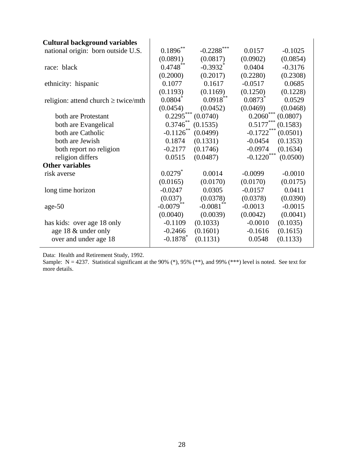| <b>Cultural background variables</b>     |                        |                        |              |           |
|------------------------------------------|------------------------|------------------------|--------------|-----------|
| national origin: born outside U.S.       | $0.1896^{**}$          | $-0.2288$ ***          | 0.0157       | $-0.1025$ |
|                                          | (0.0891)               | (0.0817)               | (0.0902)     | (0.0854)  |
| race: black                              | $0.4748**$             | $-0.3932$ <sup>*</sup> | 0.0404       | $-0.3176$ |
|                                          | (0.2000)               | (0.2017)               | (0.2280)     | (0.2308)  |
| ethnicity: hispanic                      | 0.1077                 | 0.1617                 | $-0.0517$    | 0.0685    |
|                                          | (0.1193)               | (0.1169)               | (0.1250)     | (0.1228)  |
| religion: attend church $\geq$ twice/mth | $0.0804^*$             | $0.0918***$            | 0.0873       | 0.0529    |
|                                          | (0.0454)               | (0.0452)               | (0.0469)     | (0.0468)  |
| both are Protestant                      | $0.2295***$            | (0.0740)               | $0.2060***$  | (0.0807)  |
| both are Evangelical                     | $0.3746**$             | (0.1535)               | $0.5177***$  | (0.1583)  |
| both are Catholic                        | $-0.1126$ **           | (0.0499)               | $-0.1722***$ | (0.0501)  |
| both are Jewish                          | 0.1874                 | (0.1331)               | $-0.0454$    | (0.1353)  |
| both report no religion                  | $-0.2177$              | (0.1746)               | $-0.0974$    | (0.1634)  |
| religion differs                         | 0.0515                 | (0.0487)               | $-0.1220***$ | (0.0500)  |
| <b>Other variables</b>                   |                        |                        |              |           |
| risk averse                              | $0.0279$ <sup>*</sup>  | 0.0014                 | $-0.0099$    | $-0.0010$ |
|                                          | (0.0165)               | (0.0170)               | (0.0170)     | (0.0175)  |
| long time horizon                        | $-0.0247$              | 0.0305                 | $-0.0157$    | 0.0411    |
|                                          | (0.037)                | (0.0378)               | (0.0378)     | (0.0390)  |
| $age-50$                                 | $-0.0079$ **           | $-0.0081$ **           | $-0.0013$    | $-0.0015$ |
|                                          | (0.0040)               | (0.0039)               | (0.0042)     | (0.0041)  |
| has kids: over age 18 only               | $-0.1109$              | (0.1033)               | $-0.0010$    | (0.1035)  |
| age 18 & under only                      | $-0.2466$              | (0.1601)               | $-0.1616$    | (0.1615)  |
| over and under age 18                    | $-0.1878$ <sup>*</sup> | (0.1131)               | 0.0548       | (0.1133)  |

Data: Health and Retirement Study, 1992.

Sample:  $N = 4237$ . Statistical significant at the 90% (\*), 95% (\*\*), and 99% (\*\*\*) level is noted. See text for more details.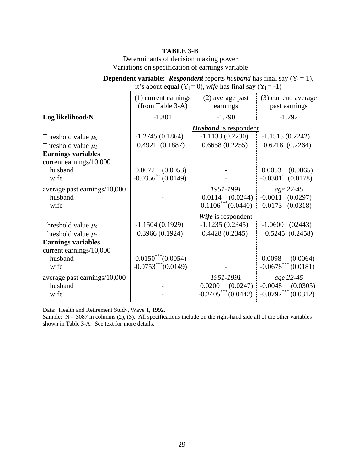| <b>Dependent variable:</b> <i>Respondent</i> reports <i>husband</i> has final say $(Y_i = 1)$ , |                         |                                                                |                                    |  |  |  |
|-------------------------------------------------------------------------------------------------|-------------------------|----------------------------------------------------------------|------------------------------------|--|--|--|
|                                                                                                 |                         | it's about equal $(Y_i = 0)$ , wife has final say $(Y_i = -1)$ |                                    |  |  |  |
|                                                                                                 | (1) current earnings    | (2) average past                                               | (3) current, average               |  |  |  |
|                                                                                                 | (from Table 3-A)        | earnings                                                       | past earnings                      |  |  |  |
| Log likelihood/N                                                                                | $-1.801$                | $-1.790$                                                       | $-1.792$                           |  |  |  |
|                                                                                                 |                         | <b>Husband</b> is respondent                                   |                                    |  |  |  |
| Threshold value $\mu_0$                                                                         | $-1.2745(0.1864)$       | $-1.1133(0.2230)$                                              | $-1.1515(0.2242)$                  |  |  |  |
| Threshold value $\mu_l$                                                                         | 0.4921(0.1887)          | 0.6658(0.2255)                                                 | 0.6218(0.2264)                     |  |  |  |
| <b>Earnings variables</b>                                                                       |                         |                                                                |                                    |  |  |  |
| current earnings/10,000                                                                         |                         |                                                                |                                    |  |  |  |
| husband                                                                                         | $0.0072$ $(0.0053)$     |                                                                | $0.0053$ $(0.0065)$                |  |  |  |
| wife                                                                                            | $-0.0356^{**}$ (0.0149) |                                                                | $-0.0301$ <sup>*</sup><br>(0.0178) |  |  |  |
| average past earnings/10,000                                                                    |                         | 1951-1991                                                      | age 22-45                          |  |  |  |
| husband                                                                                         |                         | $0.0114$ $(0.0244)$                                            | $-0.0011$ $(0.0297)$               |  |  |  |
| wife                                                                                            |                         | $-0.1106$ *** $(0.0440)$                                       | $-0.0173$ $(0.0318)$               |  |  |  |
|                                                                                                 |                         | Wife is respondent                                             |                                    |  |  |  |
| Threshold value $\mu_0$                                                                         | $-1.1504(0.1929)$       | $-1.1235(0.2345)$                                              | $-1.0600$ $(02443)$                |  |  |  |
| Threshold value $\mu_l$                                                                         | 0.3966(0.1924)          | 0.4428(0.2345)                                                 | 0.5245(0.2458)                     |  |  |  |
| <b>Earnings variables</b>                                                                       |                         |                                                                |                                    |  |  |  |
| current earnings/10,000                                                                         |                         |                                                                |                                    |  |  |  |
| husband                                                                                         | $0.0150^{***} (0.0054)$ |                                                                | 0.0098<br>(0.0064)                 |  |  |  |
| wife                                                                                            | $-0.0753***(0.0149)$    |                                                                | $-0.0678***$ (0.0181)              |  |  |  |
| average past earnings/10,000                                                                    |                         | 1951-1991                                                      | age 22-45                          |  |  |  |
| husband                                                                                         |                         | $0.0200$ $(0.0247)$                                            | $-0.0048$ $(0.0305)$               |  |  |  |
| wife                                                                                            |                         | $-0.2405***$<br>(0.0442)                                       | $-0.0797***$ $(0.0312)$            |  |  |  |

### **TABLE 3-B**

Determinants of decision making power Variations on specification of earnings variable

Data: Health and Retirement Study, Wave 1, 1992.

Sample:  $N = 3087$  in columns (2), (3). All specifications include on the right-hand side all of the other variables shown in Table 3-A. See text for more details.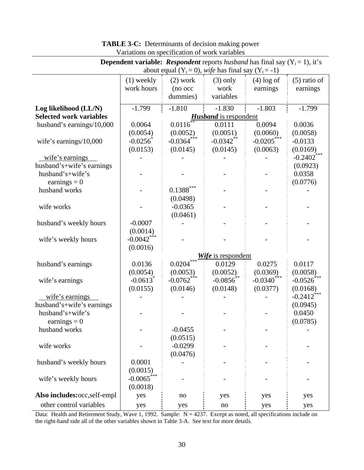| <b>Dependent variable:</b> <i>Respondent</i> reports <i>husband</i> has final say $(Y_i = 1)$ , it's |                          |                          |                                                           |                          |                  |  |
|------------------------------------------------------------------------------------------------------|--------------------------|--------------------------|-----------------------------------------------------------|--------------------------|------------------|--|
|                                                                                                      |                          |                          | about equal $(Y_i = 0)$ , wife has final say $(Y_i = -1)$ |                          |                  |  |
|                                                                                                      | $(1)$ weekly             | $(2)$ work               | $(3)$ only                                                | $(4)$ log of             | $(5)$ ratio of   |  |
|                                                                                                      | work hours               | (no occ                  | work                                                      | earnings                 | earnings         |  |
|                                                                                                      |                          | dummies)                 | variables                                                 |                          |                  |  |
| Log likelihood (LL/N)                                                                                | $-1.799$                 | $-1.810$                 | $-1.830$                                                  | $-1.803$                 | $-1.799$         |  |
| <b>Selected work variables</b>                                                                       |                          |                          | <b>Husband</b> is respondent                              |                          |                  |  |
| husband's earnings/10,000                                                                            | 0.0064                   | 0.0116                   | 0.0111                                                    | 0.0094                   | 0.0036           |  |
|                                                                                                      | (0.0054)                 | (0.0052)                 | (0.0051)                                                  | (0.0060)                 | (0.0058)         |  |
| wife's earnings/ $10,000$                                                                            | $-0.0256^*$              | $-0.0364$ <sup>***</sup> | $-0.0342$ <sup>**</sup>                                   | $-0.0205$ <sup>***</sup> | $-0.0133$        |  |
|                                                                                                      | (0.0153)                 | (0.0145)                 | (0.0145)                                                  | (0.0063)                 | (0.0169)         |  |
| wife's earnings                                                                                      |                          |                          |                                                           |                          | $-0.2402$ ***    |  |
| husband's+wife's earnings                                                                            |                          |                          |                                                           |                          | (0.0923)         |  |
| husband's+wife's                                                                                     |                          |                          |                                                           |                          | 0.0358           |  |
| earnings = $0$                                                                                       |                          |                          |                                                           |                          | (0.0776)         |  |
| husband works                                                                                        |                          | $0.1388***$              |                                                           |                          |                  |  |
|                                                                                                      |                          | (0.0498)                 |                                                           |                          |                  |  |
| wife works                                                                                           |                          | $-0.0365$                |                                                           |                          |                  |  |
|                                                                                                      |                          | (0.0461)                 |                                                           |                          |                  |  |
| husband's weekly hours                                                                               | $-0.0007$                |                          |                                                           |                          |                  |  |
|                                                                                                      | (0.0014)                 |                          |                                                           |                          |                  |  |
| wife's weekly hours                                                                                  | $-0.0042$ ***            |                          |                                                           |                          |                  |  |
|                                                                                                      | (0.0016)                 |                          |                                                           |                          |                  |  |
|                                                                                                      |                          |                          | Wife is respondent                                        |                          |                  |  |
| husband's earnings                                                                                   | 0.0136                   | 0.0204                   | 0.0129                                                    | 0.0275                   | 0.0117           |  |
|                                                                                                      | (0.0054)                 | (0.0053)                 | (0.0052)                                                  | (0.0369)                 | (0.0058)         |  |
| wife's earnings                                                                                      | $-0.0613$ <sup>*</sup>   | $-0.0762$ ***            | $-0.0856$                                                 | $-0.0340$ <sup>***</sup> | $-0.0526$        |  |
|                                                                                                      | (0.0155)                 | (0.0146)                 | (0.0148)                                                  | (0.0377)                 | (0.0168)         |  |
| wife's earnings                                                                                      |                          |                          |                                                           |                          | ***<br>$-0.2412$ |  |
| husband's+wife's earnings                                                                            |                          |                          |                                                           |                          | (0.0945)         |  |
| husband's+wife's                                                                                     |                          |                          |                                                           |                          | 0.0450           |  |
| earnings = $0$                                                                                       |                          |                          |                                                           |                          | (0.0785)         |  |
| husband works                                                                                        |                          | $-0.0455$                |                                                           |                          |                  |  |
|                                                                                                      |                          | (0.0515)                 |                                                           |                          |                  |  |
| wife works                                                                                           |                          | $-0.0299$                |                                                           |                          |                  |  |
|                                                                                                      |                          | (0.0476)                 |                                                           |                          |                  |  |
| husband's weekly hours                                                                               | 0.0001                   |                          |                                                           |                          |                  |  |
|                                                                                                      | (0.0015)                 |                          |                                                           |                          |                  |  |
| wife's weekly hours                                                                                  | $-0.0065$ <sup>***</sup> |                          |                                                           |                          |                  |  |
|                                                                                                      | (0.0018)                 |                          |                                                           |                          |                  |  |
| Also includes:occ,self-empl                                                                          | yes                      | no                       | yes                                                       | yes                      | yes              |  |
| other control variables                                                                              | yes                      | yes                      | no                                                        | yes                      | yes              |  |

### **TABLE 3-C:** Determinants of decision making power Variations on specification of work variables

Data: Health and Retirement Study, Wave 1, 1992. Sample: N = 4237. Except as noted, all specifications include on the right-hand side all of the other variables shown in Table 3-A. See text for more details.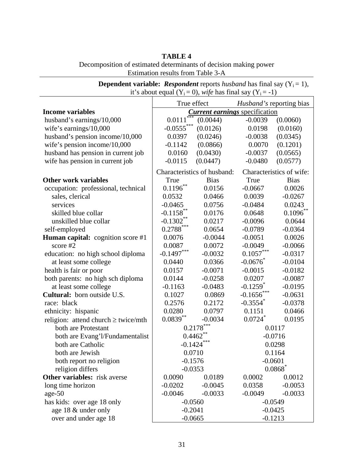| TABLE 4                                                          |
|------------------------------------------------------------------|
| Decomposition of estimated determinants of decision making power |
| Estimation results from Table 3-A                                |

| $\epsilon$ . The contract $\epsilon$ is the contracted $\epsilon$ in $\epsilon$<br>it's about equal $(Y_i = 0)$ , wife has final say $(Y_i = -1)$ |                |                                       |                                 |                          |  |  |
|---------------------------------------------------------------------------------------------------------------------------------------------------|----------------|---------------------------------------|---------------------------------|--------------------------|--|--|
|                                                                                                                                                   | True effect    |                                       | <i>Husband's</i> reporting bias |                          |  |  |
| <b>Income variables</b>                                                                                                                           |                | <b>Current earnings</b> specification |                                 |                          |  |  |
| husband's earnings/10,000                                                                                                                         | 0.0111         | (0.0044)                              | $-0.0039$                       | (0.0060)                 |  |  |
| wife's earnings/10,000                                                                                                                            | $-0.0555***$   | (0.0126)                              | 0.0198                          | (0.0160)                 |  |  |
| husband's pension income/10,000                                                                                                                   | 0.0397         | (0.0246)                              | $-0.0038$                       | (0.0345)                 |  |  |
| wife's pension income/10,000                                                                                                                      | $-0.1142$      | (0.0866)                              | 0.0070                          | (0.1201)                 |  |  |
| husband has pension in current job                                                                                                                | 0.0160         | (0.0430)                              | $-0.0037$                       | (0.0565)                 |  |  |
| wife has pension in current job                                                                                                                   | $-0.0115$      | (0.0447)                              | $-0.0480$                       | (0.0577)                 |  |  |
|                                                                                                                                                   |                | Characteristics of husband:           |                                 | Characteristics of wife: |  |  |
| <b>Other work variables</b>                                                                                                                       | True           | <b>Bias</b>                           | True                            | <b>Bias</b>              |  |  |
| occupation: professional, technical                                                                                                               | $0.1196***$    | 0.0156                                | $-0.0667$                       | 0.0026                   |  |  |
| sales, clerical                                                                                                                                   | 0.0532         | 0.0466                                | 0.0039                          | $-0.0267$                |  |  |
| services                                                                                                                                          | $-0.0465$      | 0.0756                                | $-0.0484$                       | 0.0243                   |  |  |
| skilled blue collar                                                                                                                               | $-0.1158$ **   | 0.0176                                | 0.0648                          | $0.1096***$              |  |  |
| unskilled blue collar                                                                                                                             | $-0.1302**$    | 0.0217                                | $-0.0096$                       | 0.0644                   |  |  |
| self-employed                                                                                                                                     | $0.2788^{***}$ | 0.0654                                | $-0.0789$                       | $-0.0364$                |  |  |
| <b>Human capital:</b> cognition score #1                                                                                                          | 0.0076         | $-0.0044$                             | $-0.0051$                       | 0.0026                   |  |  |
| score $#2$                                                                                                                                        | 0.0087         | 0.0072                                | $-0.0049$                       | $-0.0066$                |  |  |
| education: no high school diploma                                                                                                                 | $-0.1497***$   | $-0.0032$                             | $0.1057\sp{***}$                | $-0.0317$                |  |  |
| at least some college                                                                                                                             | 0.0440         | 0.0366                                | $-0.0676$                       | $-0.0104$                |  |  |
| health is fair or poor                                                                                                                            | 0.0157         | $-0.0071$                             | $-0.0015$                       | $-0.0182$                |  |  |
| both parents: no high sch diploma                                                                                                                 | 0.0144         | $-0.0258$                             | 0.0207                          | $-0.0087$                |  |  |
| at least some college                                                                                                                             | $-0.1163$      | $-0.0483$                             | $-0.1259$ <sup>*</sup>          | $-0.0195$                |  |  |
| Cultural: born outside U.S.                                                                                                                       | 0.1027         | 0.0869                                | $-0.1656$ ***                   | $-0.0631$                |  |  |
| race: black                                                                                                                                       | 0.2576         | 0.2172                                | $-0.3554$ *                     | $-0.0378$                |  |  |
| ethnicity: hispanic                                                                                                                               | 0.0280         | 0.0797                                | 0.1151                          | 0.0466                   |  |  |
| religion: attend church $\geq$ twice/mth                                                                                                          | $0.0839^{**}$  | $-0.0034$                             | $0.0724$ <sup>*</sup>           | 0.0195                   |  |  |
| both are Protestant                                                                                                                               |                | $0.2178***$                           |                                 | 0.0117                   |  |  |
| both are Evang'l/Fundamentalist                                                                                                                   |                | $0.4462**$                            |                                 | $-0.0716$                |  |  |
| both are Catholic                                                                                                                                 | $-0.1424$      |                                       |                                 | 0.0298                   |  |  |
| both are Jewish                                                                                                                                   |                | 0.0710                                |                                 | 0.1164                   |  |  |
| both report no religion                                                                                                                           | $-0.1576$      |                                       |                                 | $-0.0601$                |  |  |
| religion differs                                                                                                                                  | $-0.0353$      |                                       |                                 | $0.0868$ <sup>*</sup>    |  |  |
| Other variables: risk averse                                                                                                                      | 0.0090         | 0.0189                                | 0.0002                          | 0.0012                   |  |  |
| long time horizon                                                                                                                                 | $-0.0202$      | $-0.0045$                             | 0.0358                          | $-0.0053$                |  |  |
| $age-50$                                                                                                                                          | $-0.0046$      | $-0.0033$                             | $-0.0049$                       | $-0.0033$                |  |  |
| has kids: over age 18 only                                                                                                                        | $-0.0560$      |                                       |                                 | $-0.0549$                |  |  |
| age 18 & under only                                                                                                                               | $-0.2041$      |                                       |                                 | $-0.0425$                |  |  |
| over and under age 18                                                                                                                             | $-0.0665$      |                                       |                                 | $-0.1213$                |  |  |

**Dependent variable:** *Respondent* reports *husband* has final say  $(Y_i = 1)$ ,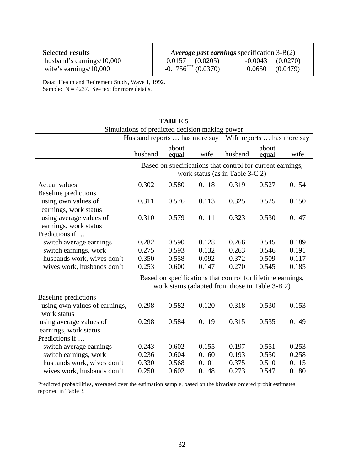| <b>Selected results</b>      | <i>Average past earnings specification 3-B(2)</i> |                      |          |
|------------------------------|---------------------------------------------------|----------------------|----------|
| husband's earnings/ $10,000$ | $0.0157$ $(0.0205)$                               | $-0.0043$ $(0.0270)$ |          |
| wife's earnings/ $10,000$    | $-0.1756^{***}$ (0.0370)                          | 0.0650               | (0.0479) |

Data: Health and Retirement Study, Wave 1, 1992.

Sample:  $N = 4237$ . See text for more details.

|                               | Sundations of predicted decision making power<br>Husband reports  has more say<br>Wife reports  has more say |       |       |                                                             |       |       |
|-------------------------------|--------------------------------------------------------------------------------------------------------------|-------|-------|-------------------------------------------------------------|-------|-------|
|                               |                                                                                                              | about |       |                                                             | about |       |
|                               | husband                                                                                                      | equal | wife  | husband                                                     | equal | wife  |
|                               |                                                                                                              |       |       | Based on specifications that control for current earnings,  |       |       |
|                               |                                                                                                              |       |       | work status (as in Table 3-C 2)                             |       |       |
| <b>Actual values</b>          | 0.302                                                                                                        | 0.580 | 0.118 | 0.319                                                       | 0.527 | 0.154 |
| <b>Baseline</b> predictions   |                                                                                                              |       |       |                                                             |       |       |
| using own values of           | 0.311                                                                                                        | 0.576 | 0.113 | 0.325                                                       | 0.525 | 0.150 |
| earnings, work status         |                                                                                                              |       |       |                                                             |       |       |
| using average values of       | 0.310                                                                                                        | 0.579 | 0.111 | 0.323                                                       | 0.530 | 0.147 |
| earnings, work status         |                                                                                                              |       |       |                                                             |       |       |
| Predictions if                |                                                                                                              |       |       |                                                             |       |       |
| switch average earnings       | 0.282                                                                                                        | 0.590 | 0.128 | 0.266                                                       | 0.545 | 0.189 |
| switch earnings, work         | 0.275                                                                                                        | 0.593 | 0.132 | 0.263                                                       | 0.546 | 0.191 |
| husbands work, wives don't    | 0.350                                                                                                        | 0.558 | 0.092 | 0.372                                                       | 0.509 | 0.117 |
| wives work, husbands don't    | 0.253                                                                                                        | 0.600 | 0.147 | 0.270                                                       | 0.545 | 0.185 |
|                               |                                                                                                              |       |       | Based on specifications that control for lifetime earnings, |       |       |
|                               |                                                                                                              |       |       | work status (adapted from those in Table 3-B 2)             |       |       |
| <b>Baseline</b> predictions   |                                                                                                              |       |       |                                                             |       |       |
| using own values of earnings, | 0.298                                                                                                        | 0.582 | 0.120 | 0.318                                                       | 0.530 | 0.153 |
| work status                   |                                                                                                              |       |       |                                                             |       |       |
| using average values of       | 0.298                                                                                                        | 0.584 | 0.119 | 0.315                                                       | 0.535 | 0.149 |
| earnings, work status         |                                                                                                              |       |       |                                                             |       |       |
| Predictions if                |                                                                                                              |       |       |                                                             |       |       |
| switch average earnings       | 0.243                                                                                                        | 0.602 | 0.155 | 0.197                                                       | 0.551 | 0.253 |
| switch earnings, work         | 0.236                                                                                                        | 0.604 | 0.160 | 0.193                                                       | 0.550 | 0.258 |
| husbands work, wives don't    | 0.330                                                                                                        | 0.568 | 0.101 | 0.375                                                       | 0.510 | 0.115 |
| wives work, husbands don't    | 0.250                                                                                                        | 0.602 | 0.148 | 0.273                                                       | 0.547 | 0.180 |

#### **TABLE 5** Simulations of predicted decision making power

Predicted probabilities, averaged over the estimation sample, based on the bivariate ordered probit estimates reported in Table 3.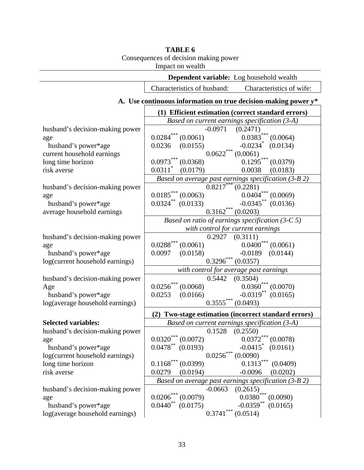### **TABLE 6** Consequences of decision making power

 $\overline{a}$ 

Impact on wealth

| <b>Dependent variable:</b> Log household wealth |                                                                   |                                                  |  |  |  |  |
|-------------------------------------------------|-------------------------------------------------------------------|--------------------------------------------------|--|--|--|--|
|                                                 | Characteristics of husband:                                       | Characteristics of wife:                         |  |  |  |  |
|                                                 | A. Use continuous information on true decision-making power $y^*$ |                                                  |  |  |  |  |
|                                                 | (1) Efficient estimation (correct standard errors)                |                                                  |  |  |  |  |
|                                                 | Based on current earnings specification $(3-A)$                   |                                                  |  |  |  |  |
| husband's decision-making power                 | $-0.0971$                                                         | (0.2471)                                         |  |  |  |  |
| age                                             | $0.0284^{\ast\ast\ast}$<br>(0.0061)                               | $0.0383***$<br>(0.0064)                          |  |  |  |  |
| husband's power*age                             | (0.0155)<br>0.0236                                                | $-0.0234$ (0.0134)                               |  |  |  |  |
| current household earnings                      | $0.0622***(0.0061)$                                               |                                                  |  |  |  |  |
| long time horizon                               | $0.0973***$ $(0.0368)$                                            | $0.1295***$<br>(0.0379)                          |  |  |  |  |
| risk averse                                     | $0.0311$ <sup>*</sup><br>(0.0179)                                 | 0.0038<br>(0.0183)                               |  |  |  |  |
|                                                 | Based on average past earnings specification (3-B 2)              |                                                  |  |  |  |  |
| husband's decision-making power                 | $0.8217***$ $(0.2281)$                                            |                                                  |  |  |  |  |
| age                                             | $0.0185***(0.0063)$                                               | $\ast\ast\ast$<br>0.0404<br>(0.0069)             |  |  |  |  |
| husband's power*age                             | $0.0324**$ (0.0133)                                               | $-0.0345***$<br>(0.0136)                         |  |  |  |  |
| average household earnings                      | $0.3162***$ (0.0203)                                              |                                                  |  |  |  |  |
|                                                 | Based on ratio of earnings specification $(3-C 5)$                |                                                  |  |  |  |  |
|                                                 | with control for current earnings                                 |                                                  |  |  |  |  |
| husband's decision-making power                 | $0.2927$ $(0.3111)$                                               |                                                  |  |  |  |  |
| age                                             | $0.0288^{***}\,$<br>(0.0061)                                      | $0.0400^{***}$ (0.0061)                          |  |  |  |  |
| husband's power*age                             | 0.0097<br>(0.0158)                                                | $-0.0189$<br>(0.0144)                            |  |  |  |  |
| log(current household earnings)                 | $0.3296***$ $(0.0357)$                                            |                                                  |  |  |  |  |
|                                                 | with control for average past earnings                            |                                                  |  |  |  |  |
| husband's decision-making power                 | 0.5442                                                            | (0.3504)                                         |  |  |  |  |
| Age                                             | $0.0256^{***}\,$<br>(0.0068)                                      | $0.0360***$<br>(0.0070)                          |  |  |  |  |
| husband's power*age                             | (0.0166)<br>0.0253                                                | $-0.0319$ **<br>(0.0165)                         |  |  |  |  |
| log(average household earnings)                 | $0.3555***(0.0493)$                                               |                                                  |  |  |  |  |
|                                                 | (2)                                                               | Two-stage estimation (incorrect standard errors) |  |  |  |  |
| <b>Selected variables:</b>                      | Based on current earnings specification $(3-A)$                   |                                                  |  |  |  |  |
| husband's decision-making power                 | 0.1528                                                            | (0.2550)                                         |  |  |  |  |
| age                                             | $0.0320***$ $(0.0072)$                                            | $0.0372***$ (0.0078)                             |  |  |  |  |
| husband's power*age                             | $0.0478***$<br>(0.0193)                                           | $-0.0415$ <sup>*</sup><br>(0.0161)               |  |  |  |  |
| log(current household earnings)                 | $0.0256^{***}\,$                                                  | (0.0090)                                         |  |  |  |  |
| long time horizon                               | $0.1168***$<br>(0.0399)                                           | $0.1313***$<br>(0.0409)                          |  |  |  |  |
| risk averse                                     | 0.0279<br>(0.0194)                                                | $-0.0096$<br>(0.0202)                            |  |  |  |  |
|                                                 | Based on average past earnings specification $(3-B 2)$            |                                                  |  |  |  |  |
| husband's decision-making power                 | $-0.0663$                                                         | (0.2615)                                         |  |  |  |  |
| age                                             | $0.0206***$<br>(0.0079)                                           | $0.0380***$<br>(0.0090)                          |  |  |  |  |
| husband's power*age                             | $0.0440^\ast$<br>(0.0175)                                         | $-0.0359***$<br>(0.0165)                         |  |  |  |  |
| log(average household earnings)                 | $0.3741^{\ast\ast\ast}$                                           | (0.0514)                                         |  |  |  |  |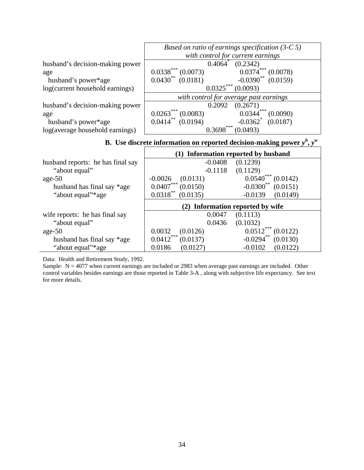|                                 | Based on ratio of earnings specification $(3-C5)$             |  |  |  |  |
|---------------------------------|---------------------------------------------------------------|--|--|--|--|
|                                 | with control for current earnings                             |  |  |  |  |
| husband's decision-making power | 0.4064<br>(0.2342)                                            |  |  |  |  |
| age                             | $0.0338***$<br>0.0374<br>(0.0073)<br>(0.0078)                 |  |  |  |  |
| husband's power*age             | $0.0430**$<br>$-0.0390^{**}$ (0.0159)<br>(0.0181)             |  |  |  |  |
| log(current household earnings) | $0.0325***$<br>(0.0093)                                       |  |  |  |  |
|                                 | with control for average past earnings                        |  |  |  |  |
| husband's decision-making power | 0.2092<br>(0.2671)                                            |  |  |  |  |
| age                             | ***<br>***<br>0.0263<br>(0.0083)<br>0.0344<br>(0.0090)        |  |  |  |  |
| husband's power*age             | $0.0414***$<br>$-0.0362$ <sup>*</sup><br>(0.0194)<br>(0.0187) |  |  |  |  |
| log(average household earnings) | ***<br>(0.0493)<br>0.3698                                     |  |  |  |  |

### **B.** Use discrete information on reported decision-making power  $y^h$ ,  $y^w$

|                                   |                                     | (1) Information reported by husband |
|-----------------------------------|-------------------------------------|-------------------------------------|
| husband reports: he has final say | $-0.0408$                           | (0.1239)                            |
| "about equal"                     | $-0.1118$                           | (0.1129)                            |
| age- $50$                         | $-0.0026$<br>(0.0131)               | $0.0540***$<br>(0.0142)             |
| husband has final say *age        | $0.0407***$<br>(0.0150)             | $-0.0300$ **<br>(0.0151)            |
| "about equal"*age                 | $0.0318***$<br>(0.0135)             | $-0.0139$<br>(0.0149)               |
|                                   | Information reported by wife<br>(2) |                                     |
|                                   |                                     |                                     |
| wife reports: he has final say    | 0.0047                              | (0.1113)                            |
| "about equal"                     | 0.0436                              | (0.1032)                            |
| age- $50$                         | 0.0032<br>(0.0126)                  | 0.0512<br>(0.0122)                  |
| husband has final say *age        | ***<br>0.0412<br>(0.0137)           | $-0.0294$ **<br>(0.0130)            |

Data: Health and Retirement Study, 1992.

Sample:  $N = 4077$  when current earnings are included or 2983 when average past earnings are included. Other control variables besides earnings are those reported in Table 3-A , along with subjective life expectancy. See text for more details.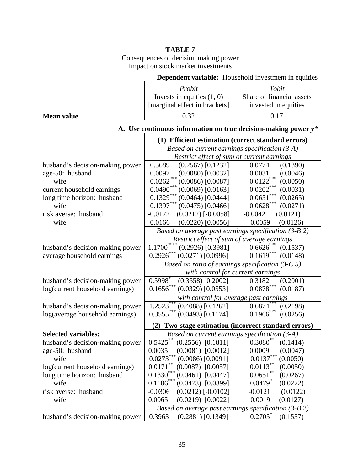|                                                             | THIPACI ON STOCK THATKET HIVESTHICHTS                          |                                        |  |  |
|-------------------------------------------------------------|----------------------------------------------------------------|----------------------------------------|--|--|
| <b>Dependent variable:</b> Household investment in equities |                                                                |                                        |  |  |
|                                                             | Probit                                                         | Tobit                                  |  |  |
|                                                             | Invests in equities $(1, 0)$                                   | Share of financial assets              |  |  |
|                                                             | [marginal effect in brackets]                                  | invested in equities                   |  |  |
| <b>Mean value</b>                                           | 0.32                                                           | 0.17                                   |  |  |
|                                                             | A. Use continuous information on true decision-making power y* |                                        |  |  |
|                                                             | (1) Efficient estimation (correct standard errors)             |                                        |  |  |
|                                                             | Based on current earnings specification (3-A)                  |                                        |  |  |
|                                                             | Restrict effect of sum of current earnings                     |                                        |  |  |
| husband's decision-making power                             | $(0.2567)$ [0.1232]<br>0.3689                                  | (0.1390)<br>0.0774                     |  |  |
| age-50: husband                                             | $(0.0080)$ [0.0032]<br>0.0097                                  | 0.0031<br>(0.0046)                     |  |  |
| wife                                                        | $0.0262$ ***<br>$(0.0086)$ [0.0087]                            | $0.0122***$<br>(0.0050)                |  |  |
| current household earnings                                  | $0.0490***$<br>$(0.0069)$ [0.0163]                             | $0.0202***$<br>(0.0031)                |  |  |
| long time horizon: husband                                  | $0.1329***$<br>$(0.0464)$ [0.0444]                             | $0.0651^{***}$<br>(0.0265)             |  |  |
| wife                                                        | $0.1397***$<br>$(0.0475)$ [0.0466]                             | $0.0628\sp{*}{\ast}{\ast}$<br>(0.0271) |  |  |
| risk averse: husband                                        | $-0.0172$<br>$(0.0212)$ [-0.0058]                              | $-0.0042$<br>(0.0121)                  |  |  |
| wife                                                        | $(0.0220)$ [0.0056]<br>0.0166                                  | 0.0059<br>(0.0126)                     |  |  |
|                                                             | Based on average past earnings specification (3-B 2)           |                                        |  |  |
|                                                             | Restrict effect of sum of average earnings                     |                                        |  |  |
| husband's decision-making power                             | $1.1700^*$<br>$(0.2926)$ [0.3981]                              | 0.6626<br>(0.1537)                     |  |  |
| average household earnings                                  | $0.2926***$<br>$(0.0271)$ [0.0996]                             | $0.1619***$<br>(0.0148)                |  |  |
|                                                             | Based on ratio of earnings specification $(3-C 5)$             |                                        |  |  |
|                                                             | with control for current earnings                              |                                        |  |  |
| husband's decision-making power                             | $0.5998*$<br>$(0.3558)$ [0.2002]                               | 0.3182<br>(0.2001)                     |  |  |
| log(current household earnings)                             | $0.1656***$<br>$(0.0329)$ [0.0553]                             | $0.0878***$<br>(0.0187)                |  |  |
|                                                             | with control for average past earnings                         |                                        |  |  |
| husband's decision-making power                             | $1.252\overline{3}^{***}$<br>$(0.4088)$ [0.4262]               | 0.6874<br>(0.2198)                     |  |  |
| log(average household earnings)                             | $0.3555***$<br>$(0.0493)$ [0.1174]                             | $0.1966$ ***<br>(0.0256)               |  |  |
|                                                             | (2) Two-stage estimation (incorrect standard errors)           |                                        |  |  |
| <b>Selected variables:</b>                                  | Based on current earnings specification (3-A)                  |                                        |  |  |
| husband's decision-making power                             | 0.5425<br>$(0.2556)$ [0.1811]                                  | 0.3080<br>(0.1414)                     |  |  |
| age-50: husband                                             | 0.0035<br>$(0.0081)$ [0.0012]                                  | 0.0009<br>(0.0047)                     |  |  |
| wife                                                        | $0.0273***$<br>$(0.0086)$ [0.0091]                             | $0.0137***$<br>(0.0050)                |  |  |
| log(current household earnings)                             | $0.0171^{\ast\ast}$<br>$(0.0087)$ $[0.0057]$                   | $0.0113***$<br>(0.0050)                |  |  |
| long time horizon: husband                                  | $0.1330***$<br>$(0.0461)$ [0.0447]                             | $0.0651***$<br>(0.0267)                |  |  |
| wife                                                        | $0.1186^{***}\,$<br>$(0.0473)$ [0.0399]                        | $0.0479$ <sup>*</sup><br>(0.0272)      |  |  |
| risk averse: husband                                        | $-0.0306$<br>$(0.0212)$ [-0.0102]                              | $-0.0121$<br>(0.0122)                  |  |  |
| wife                                                        | 0.0065<br>$(0.0219)$ $[0.0022]$                                | 0.0019<br>(0.0127)                     |  |  |
|                                                             | Based on average past earnings specification $(3-B 2)$         |                                        |  |  |
| husband's decision-making power                             | 0.3963<br>$(0.2881)$ [0.1349]                                  | 0.2705<br>(0.1537)                     |  |  |

### **TABLE 7** Consequences of decision making power Impact on stock market investments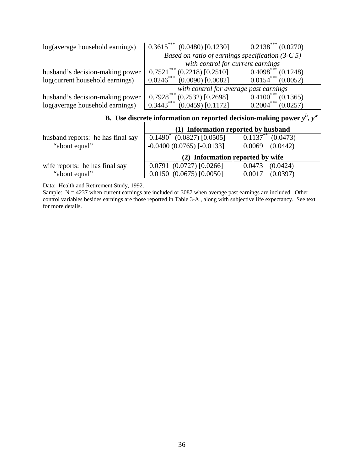| log(average household earnings) | $0.3615***$ (0.0480) [0.1230]                     | $0.2138***(0.0270)$     |  |
|---------------------------------|---------------------------------------------------|-------------------------|--|
|                                 | Based on ratio of earnings specification $(3-C5)$ |                         |  |
|                                 | with control for current earnings                 |                         |  |
| husband's decision-making power | $0.7521$ ***<br>$(0.2218)$ [0.2510]               | $0.4098***$<br>(0.1248) |  |
| log(current household earnings) | $0.0246***$<br>$(0.0090)$ [0.0082]                | $0.0154***(0.0052)$     |  |
|                                 | with control for average past earnings            |                         |  |
| husband's decision-making power | $0.7928***$<br>$(0.2532)$ [0.2698]                | $0.4100***$<br>(0.1365) |  |
| log(average household earnings) | $0.3443***$<br>$(0.0459)$ [0.1172]                | $0.2004***$<br>(0.0257) |  |

**B.** Use discrete information on reported decision-making power  $y^h$ ,  $y^w$ 

|                                   | (1) Information reported by husband |                         |  |
|-----------------------------------|-------------------------------------|-------------------------|--|
| husband reports: he has final say | $0.1490^*$ (0.0827) [0.0505]        | $0.1137***$<br>(0.0473) |  |
| "about equal"                     | $-0.0400(0.0765)$ [ $-0.0133$ ]     | (0.0442)<br>0.0069      |  |
|                                   | (2) Information reported by wife    |                         |  |
|                                   |                                     |                         |  |
| wife reports: he has final say    | $0.0791$ $(0.0727)$ $[0.0266]$      | 0.0473<br>(0.0424)      |  |

Data: Health and Retirement Study, 1992.

Sample:  $N = 4237$  when current earnings are included or 3087 when average past earnings are included. Other control variables besides earnings are those reported in Table 3-A , along with subjective life expectancy. See text for more details.